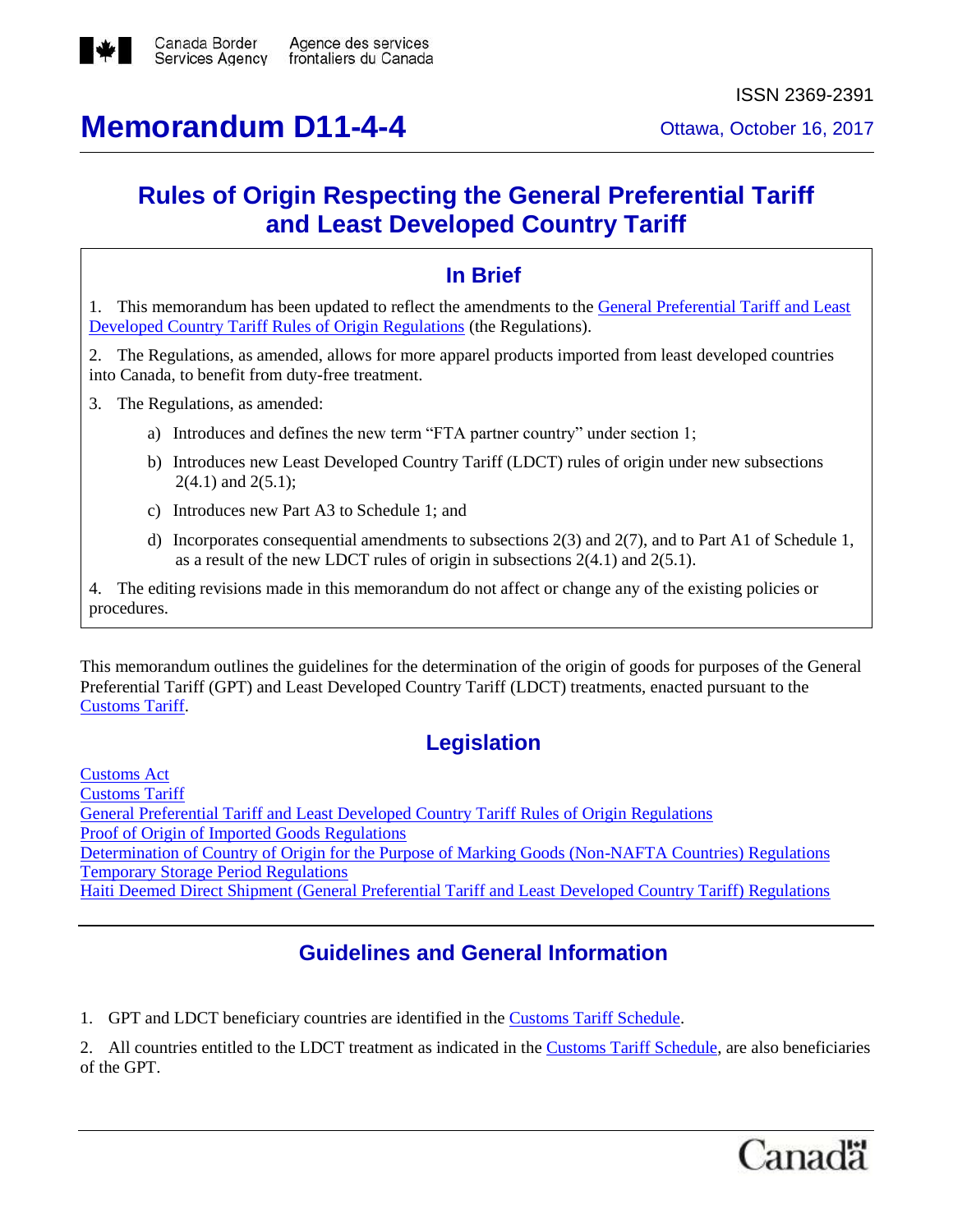

# **Memorandum D11-4-4** Ottawa, October 16, 2017

## **Rules of Origin Respecting the General Preferential Tariff and Least Developed Country Tariff**

## **In Brief**

1. This memorandum has been updated to reflect the amendments to the [General Preferential Tariff and Least](http://laws-lois.justice.gc.ca/eng/regulations/SOR-2013-165/FullText.html)  [Developed Country Tariff Rules of Origin Regulations](http://laws-lois.justice.gc.ca/eng/regulations/SOR-2013-165/FullText.html) (the Regulations).

2. The Regulations, as amended, allows for more apparel products imported from least developed countries into Canada, to benefit from duty-free treatment.

- 3. The Regulations, as amended:
	- a) Introduces and defines the new term "FTA partner country" under section 1;
	- b) Introduces new Least Developed Country Tariff (LDCT) rules of origin under new subsections  $2(4.1)$  and  $2(5.1)$ ;
	- c) Introduces new Part A3 to Schedule 1; and
	- d) Incorporates consequential amendments to subsections 2(3) and 2(7), and to Part A1 of Schedule 1, as a result of the new LDCT rules of origin in subsections 2(4.1) and 2(5.1).

4. The editing revisions made in this memorandum do not affect or change any of the existing policies or procedures.

This memorandum outlines the guidelines for the determination of the origin of goods for purposes of the General Preferential Tariff (GPT) and Least Developed Country Tariff (LDCT) treatments, enacted pursuant to the [Customs Tariff.](http://laws-lois.justice.gc.ca/eng/acts/C-54.011/FullText.html)

## **Legislation**

[Customs Act](http://laws-lois.justice.gc.ca/eng/acts/c-52.6/FullText.html) [Customs Tariff](http://laws-lois.justice.gc.ca/eng/acts/C-54.011/FullText.html) [General Preferential Tariff and Least Developed Country Tariff Rules of Origin Regulations](http://laws-lois.justice.gc.ca/eng/regulations/SOR-2013-165/FullText.html) [Proof of Origin of Imported Goods Regulations](http://laws.justice.gc.ca/eng/regulations/SOR-98-52/FullText.html) [Determination of Country of Origin for the Purpose of Marking Goods \(Non-NAFTA Countries\) Regulations](http://laws-lois.justice.gc.ca/eng/regulations/SOR-94-16/FullText.html) [Temporary Storage Period Regulations](http://laws-lois.justice.gc.ca/eng/regulations/SOR-88-79/FullText.html) [Haiti Deemed Direct Shipment \(General Preferential Tariff and Least Developed Country Tariff\) Regulations](http://laws-lois.justice.gc.ca/eng/regulations/SOR-2010-58/FullText.html)

## **Guidelines and General Information**

1. GPT and LDCT beneficiary countries are identified in the [Customs Tariff Schedule.](http://www.cbsa-asfc.gc.ca/trade-commerce/tariff-tarif/menu-eng.html)

2. All countries entitled to the LDCT treatment as indicated in the [Customs Tariff Schedule,](http://www.cbsa-asfc.gc.ca/trade-commerce/tariff-tarif/menu-eng.html) are also beneficiaries of the GPT.

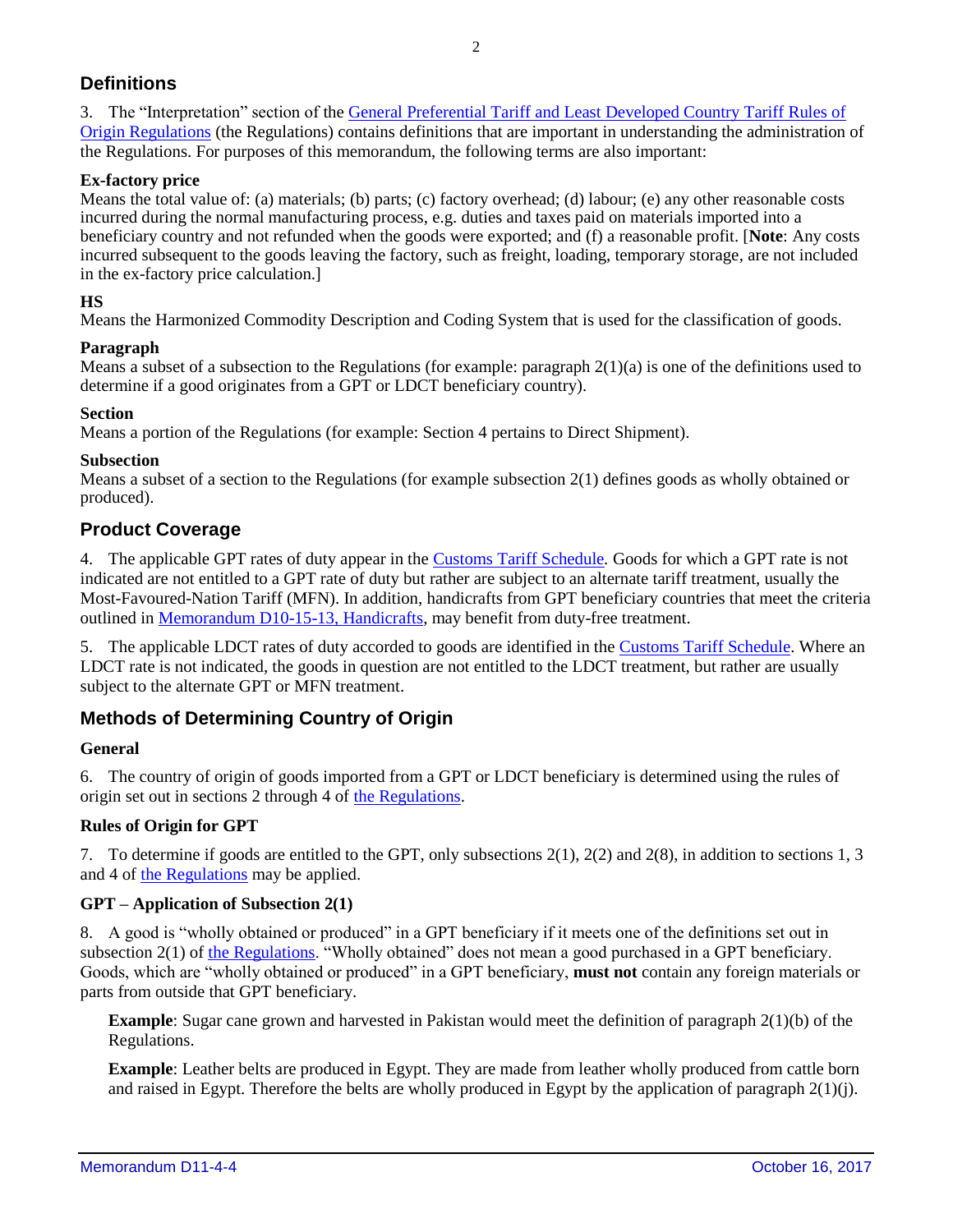## **Definitions**

3. The "Interpretation" section of the [General Preferential Tariff and Least Developed Country Tariff Rules of](http://laws-lois.justice.gc.ca/eng/regulations/SOR-2013-165/FullText.html)  [Origin Regulations](http://laws-lois.justice.gc.ca/eng/regulations/SOR-2013-165/FullText.html) (the Regulations) contains definitions that are important in understanding the administration of the Regulations. For purposes of this memorandum, the following terms are also important:

## **Ex-factory price**

Means the total value of: (a) materials; (b) parts; (c) factory overhead; (d) labour; (e) any other reasonable costs incurred during the normal manufacturing process, e.g. duties and taxes paid on materials imported into a beneficiary country and not refunded when the goods were exported; and (f) a reasonable profit. [**Note**: Any costs incurred subsequent to the goods leaving the factory, such as freight, loading, temporary storage, are not included in the ex-factory price calculation.]

## **HS**

Means the Harmonized Commodity Description and Coding System that is used for the classification of goods.

## **Paragraph**

Means a subset of a subsection to the Regulations (for example: paragraph  $2(1)(a)$  is one of the definitions used to determine if a good originates from a GPT or LDCT beneficiary country).

#### **Section**

Means a portion of the Regulations (for example: Section 4 pertains to Direct Shipment).

#### **Subsection**

Means a subset of a section to the Regulations (for example subsection 2(1) defines goods as wholly obtained or produced).

## **Product Coverage**

4. The applicable GPT rates of duty appear in the [Customs Tariff Schedule](http://www.cbsa-asfc.gc.ca/trade-commerce/tariff-tarif/menu-eng.html)*.* Goods for which a GPT rate is not indicated are not entitled to a GPT rate of duty but rather are subject to an alternate tariff treatment, usually the Most-Favoured-Nation Tariff (MFN). In addition, handicrafts from GPT beneficiary countries that meet the criteria outlined i[n Memorandum D10-15-13, Handicrafts,](http://cbsa-asfc.gc.ca/publications/dm-md/d10/d10-15-13-eng.html) may benefit from duty-free treatment.

5. The applicable LDCT rates of duty accorded to goods are identified in the [Customs Tariff Schedule.](http://www.cbsa-asfc.gc.ca/trade-commerce/tariff-tarif/menu-eng.html) Where an LDCT rate is not indicated, the goods in question are not entitled to the LDCT treatment, but rather are usually subject to the alternate GPT or MFN treatment.

## **Methods of Determining Country of Origin**

## **General**

6. The country of origin of goods imported from a GPT or LDCT beneficiary is determined using the rules of origin set out in sections 2 through 4 of [the Regulations.](http://laws-lois.justice.gc.ca/eng/regulations/SOR-2013-165/FullText.html)

## **Rules of Origin for GPT**

7. To determine if goods are entitled to the GPT, only subsections 2(1), 2(2) and 2(8), in addition to sections 1, 3 and 4 of [the Regulations](http://laws-lois.justice.gc.ca/eng/regulations/SOR-2013-165/FullText.html) may be applied.

## **GPT – Application of Subsection 2(1)**

8. A good is "wholly obtained or produced" in a GPT beneficiary if it meets one of the definitions set out in subsection 2(1) of [the Regulations.](http://laws-lois.justice.gc.ca/eng/regulations/SOR-2013-165/FullText.html) "Wholly obtained" does not mean a good purchased in a GPT beneficiary. Goods, which are "wholly obtained or produced" in a GPT beneficiary, **must not** contain any foreign materials or parts from outside that GPT beneficiary.

**Example**: Sugar cane grown and harvested in Pakistan would meet the definition of paragraph 2(1)(b) of the Regulations.

**Example**: Leather belts are produced in Egypt. They are made from leather wholly produced from cattle born and raised in Egypt. Therefore the belts are wholly produced in Egypt by the application of paragraph 2(1)(j).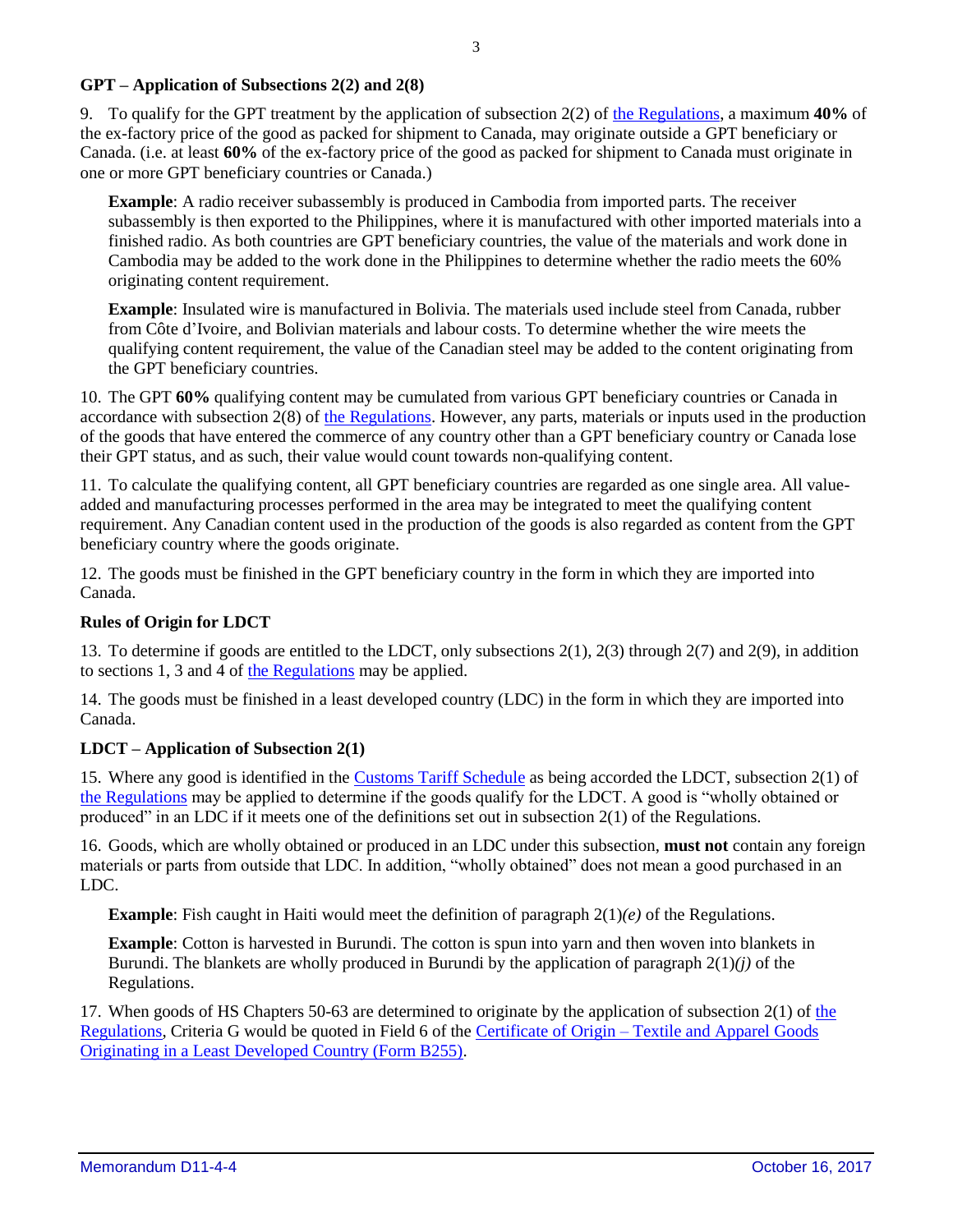#### **GPT – Application of Subsections 2(2) and 2(8)**

9. To qualify for the GPT treatment by the application of subsection 2(2) of [the Regulations,](http://laws-lois.justice.gc.ca/eng/regulations/SOR-2013-165/FullText.html) a maximum **40%** of the ex-factory price of the good as packed for shipment to Canada, may originate outside a GPT beneficiary or Canada. (i.e. at least **60%** of the ex-factory price of the good as packed for shipment to Canada must originate in one or more GPT beneficiary countries or Canada.)

**Example**: A radio receiver subassembly is produced in Cambodia from imported parts. The receiver subassembly is then exported to the Philippines, where it is manufactured with other imported materials into a finished radio. As both countries are GPT beneficiary countries, the value of the materials and work done in Cambodia may be added to the work done in the Philippines to determine whether the radio meets the 60% originating content requirement.

**Example**: Insulated wire is manufactured in Bolivia. The materials used include steel from Canada, rubber from Côte d'Ivoire, and Bolivian materials and labour costs. To determine whether the wire meets the qualifying content requirement, the value of the Canadian steel may be added to the content originating from the GPT beneficiary countries.

10. The GPT **60%** qualifying content may be cumulated from various GPT beneficiary countries or Canada in accordance with subsection  $2(8)$  of [the Regulations.](http://laws-lois.justice.gc.ca/eng/regulations/SOR-2013-165/FullText.html) However, any parts, materials or inputs used in the production of the goods that have entered the commerce of any country other than a GPT beneficiary country or Canada lose their GPT status, and as such, their value would count towards non-qualifying content.

11. To calculate the qualifying content, all GPT beneficiary countries are regarded as one single area. All valueadded and manufacturing processes performed in the area may be integrated to meet the qualifying content requirement. Any Canadian content used in the production of the goods is also regarded as content from the GPT beneficiary country where the goods originate.

12. The goods must be finished in the GPT beneficiary country in the form in which they are imported into Canada.

#### **Rules of Origin for LDCT**

13. To determine if goods are entitled to the LDCT, only subsections 2(1), 2(3) through 2(7) and 2(9), in addition to sections 1, 3 and 4 of [the Regulations](http://laws-lois.justice.gc.ca/eng/regulations/SOR-2013-165/FullText.html) may be applied.

14. The goods must be finished in a least developed country (LDC) in the form in which they are imported into Canada.

#### **LDCT – Application of Subsection 2(1)**

15. Where any good is identified in the [Customs Tariff Schedule](http://www.cbsa-asfc.gc.ca/trade-commerce/tariff-tarif/menu-eng.html) as being accorded the LDCT, subsection 2(1) of [the Regulations](http://laws-lois.justice.gc.ca/eng/regulations/SOR-2013-165/FullText.html) may be applied to determine if the goods qualify for the LDCT. A good is "wholly obtained or produced" in an LDC if it meets one of the definitions set out in subsection 2(1) of the Regulations.

16. Goods, which are wholly obtained or produced in an LDC under this subsection, **must not** contain any foreign materials or parts from outside that LDC. In addition, "wholly obtained" does not mean a good purchased in an LDC.

**Example**: Fish caught in Haiti would meet the definition of paragraph 2(1)*(e)* of the Regulations.

**Example**: Cotton is harvested in Burundi. The cotton is spun into yarn and then woven into blankets in Burundi. The blankets are wholly produced in Burundi by the application of paragraph 2(1)*(j)* of the Regulations.

17. When goods of HS Chapters 50-63 are determined to originate by the application of subsection 2(1) of [the](http://laws-lois.justice.gc.ca/eng/regulations/SOR-2013-165/FullText.html)  [Regulations,](http://laws-lois.justice.gc.ca/eng/regulations/SOR-2013-165/FullText.html) Criteria G would be quoted in Field 6 of the Certificate of Origin – [Textile and Apparel Goods](http://www.cbsa-asfc.gc.ca/publications/forms-formulaires/b255-eng.html)  [Originating in a Least Developed Country \(Form B255\).](http://www.cbsa-asfc.gc.ca/publications/forms-formulaires/b255-eng.html)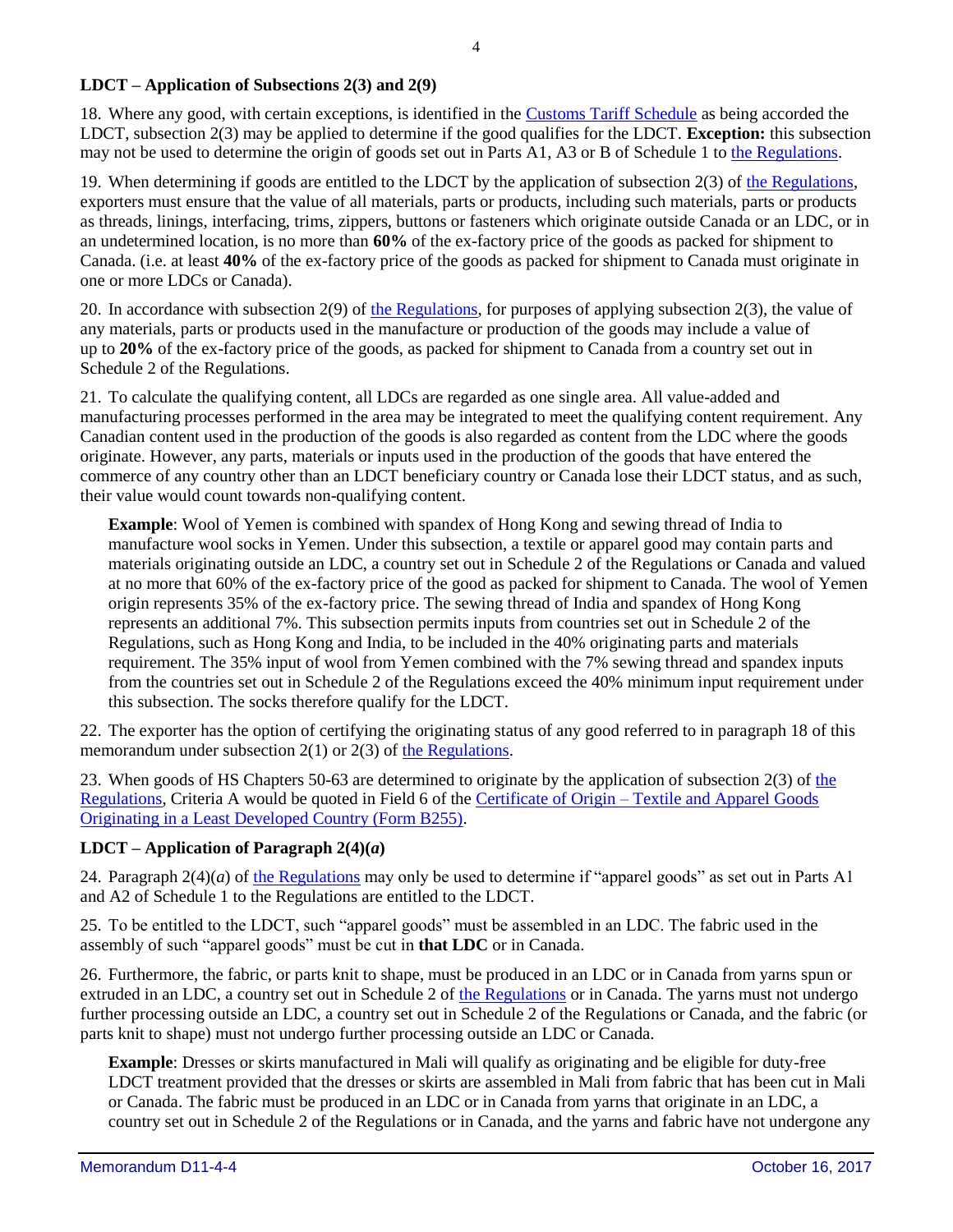#### **LDCT – Application of Subsections 2(3) and 2(9)**

18. Where any good, with certain exceptions, is identified in the [Customs Tariff Schedule](http://www.cbsa-asfc.gc.ca/trade-commerce/tariff-tarif/menu-eng.html) as being accorded the LDCT, subsection 2(3) may be applied to determine if the good qualifies for the LDCT. **Exception:** this subsection may not be used to determine the origin of goods set out in Parts A1, A3 or B of Schedule 1 to [the Regulations.](http://laws-lois.justice.gc.ca/eng/regulations/SOR-2013-165/FullText.html)

19. When determining if goods are entitled to the LDCT by the application of subsection 2(3) of [the Regulations,](http://laws-lois.justice.gc.ca/eng/regulations/SOR-2013-165/FullText.html) exporters must ensure that the value of all materials, parts or products, including such materials, parts or products as threads, linings, interfacing, trims, zippers, buttons or fasteners which originate outside Canada or an LDC, or in an undetermined location, is no more than **60%** of the ex-factory price of the goods as packed for shipment to Canada. (i.e. at least **40%** of the ex-factory price of the goods as packed for shipment to Canada must originate in one or more LDCs or Canada).

20. In accordance with subsection 2(9) of [the Regulations,](http://laws-lois.justice.gc.ca/eng/regulations/SOR-2013-165/FullText.html) for purposes of applying subsection 2(3), the value of any materials, parts or products used in the manufacture or production of the goods may include a value of up to **20%** of the ex-factory price of the goods, as packed for shipment to Canada from a country set out in Schedule 2 of the Regulations.

21. To calculate the qualifying content, all LDCs are regarded as one single area. All value-added and manufacturing processes performed in the area may be integrated to meet the qualifying content requirement. Any Canadian content used in the production of the goods is also regarded as content from the LDC where the goods originate. However, any parts, materials or inputs used in the production of the goods that have entered the commerce of any country other than an LDCT beneficiary country or Canada lose their LDCT status, and as such, their value would count towards non-qualifying content.

**Example**: Wool of Yemen is combined with spandex of Hong Kong and sewing thread of India to manufacture wool socks in Yemen. Under this subsection, a textile or apparel good may contain parts and materials originating outside an LDC, a country set out in Schedule 2 of the Regulations or Canada and valued at no more that 60% of the ex-factory price of the good as packed for shipment to Canada. The wool of Yemen origin represents 35% of the ex-factory price. The sewing thread of India and spandex of Hong Kong represents an additional 7%. This subsection permits inputs from countries set out in Schedule 2 of the Regulations, such as Hong Kong and India, to be included in the 40% originating parts and materials requirement. The 35% input of wool from Yemen combined with the 7% sewing thread and spandex inputs from the countries set out in Schedule 2 of the Regulations exceed the 40% minimum input requirement under this subsection. The socks therefore qualify for the LDCT.

22. The exporter has the option of certifying the originating status of any good referred to in paragraph 18 of this memorandum under subsection 2(1) or 2(3) of [the Regulations.](http://laws-lois.justice.gc.ca/eng/regulations/SOR-2013-165/FullText.html)

23. When goods of HS Chapters 50-63 are determined to originate by the application of subsection 2(3) of [the](http://laws-lois.justice.gc.ca/eng/regulations/SOR-2013-165/FullText.html)  [Regulations,](http://laws-lois.justice.gc.ca/eng/regulations/SOR-2013-165/FullText.html) Criteria A would be quoted in Field 6 of the Certificate of Origin – [Textile and Apparel Goods](http://www.cbsa-asfc.gc.ca/publications/forms-formulaires/b255-eng.html)  [Originating in a Least Developed Country \(Form B255\).](http://www.cbsa-asfc.gc.ca/publications/forms-formulaires/b255-eng.html)

## **LDCT** – **Application of Paragraph**  $2(4)(a)$

24. Paragraph 2(4)(*a*) of [the Regulations](http://laws-lois.justice.gc.ca/eng/regulations/SOR-2013-165/FullText.html) may only be used to determine if "apparel goods" as set out in Parts A1 and A2 of Schedule 1 to the Regulations are entitled to the LDCT.

25. To be entitled to the LDCT, such "apparel goods" must be assembled in an LDC. The fabric used in the assembly of such "apparel goods" must be cut in **that LDC** or in Canada.

26. Furthermore, the fabric, or parts knit to shape, must be produced in an LDC or in Canada from yarns spun or extruded in an LDC, a country set out in Schedule 2 of [the Regulations](http://laws-lois.justice.gc.ca/eng/regulations/SOR-2013-165/FullText.html) or in Canada. The yarns must not undergo further processing outside an LDC, a country set out in Schedule 2 of the Regulations or Canada, and the fabric (or parts knit to shape) must not undergo further processing outside an LDC or Canada.

**Example**: Dresses or skirts manufactured in Mali will qualify as originating and be eligible for duty-free LDCT treatment provided that the dresses or skirts are assembled in Mali from fabric that has been cut in Mali or Canada. The fabric must be produced in an LDC or in Canada from yarns that originate in an LDC, a country set out in Schedule 2 of the Regulations or in Canada, and the yarns and fabric have not undergone any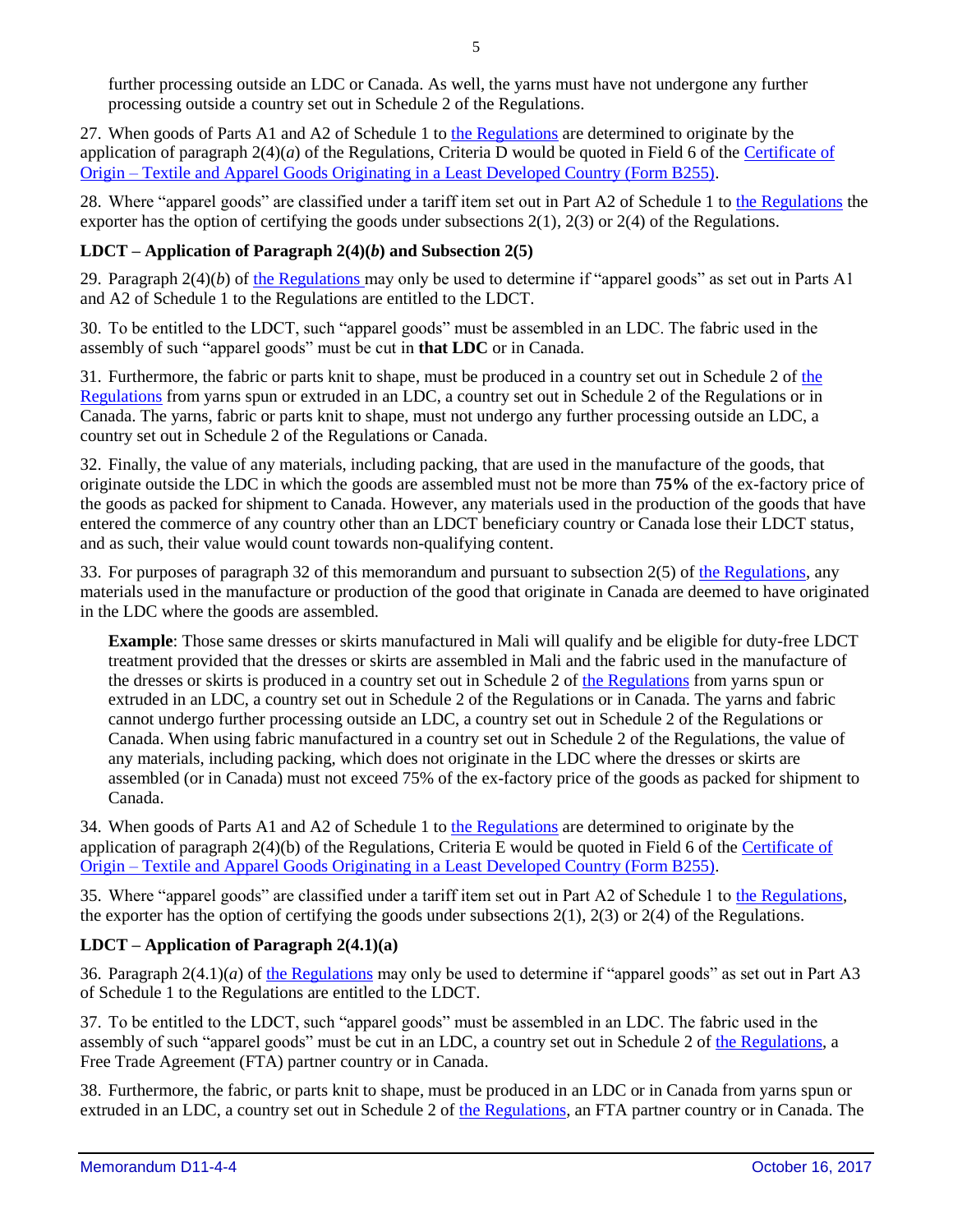further processing outside an LDC or Canada. As well, the yarns must have not undergone any further processing outside a country set out in Schedule 2 of the Regulations.

27. When goods of Parts A1 and A2 of Schedule 1 to [the Regulations](http://laws-lois.justice.gc.ca/eng/regulations/SOR-2013-165/FullText.html) are determined to originate by the application of paragraph  $2(4)(a)$  of the Regulations, Criteria D would be quoted in Field 6 of the Certificate of Origin – [Textile and Apparel Goods Originating in a Least Developed Country \(Form B255\).](http://www.cbsa-asfc.gc.ca/publications/forms-formulaires/b255-eng.html)

28. Where "apparel goods" are classified under a tariff item set out in Part A2 of Schedule 1 to [the Regulations](http://laws-lois.justice.gc.ca/eng/regulations/SOR-2013-165/FullText.html) the exporter has the option of certifying the goods under subsections  $2(1)$ ,  $2(3)$  or  $2(4)$  of the Regulations.

## **LDCT – Application of Paragraph 2(4)(***b***) and Subsection 2(5)**

29. Paragraph 2(4)(*b*) of [the Regulations](http://laws-lois.justice.gc.ca/eng/regulations/SOR-2013-165/FullText.html) may only be used to determine if "apparel goods" as set out in Parts A1 and A2 of Schedule 1 to the Regulations are entitled to the LDCT.

30. To be entitled to the LDCT, such "apparel goods" must be assembled in an LDC. The fabric used in the assembly of such "apparel goods" must be cut in **that LDC** or in Canada.

31. Furthermore, the fabric or parts knit to shape, must be produced in a country set out in Schedule 2 of [the](http://laws-lois.justice.gc.ca/eng/regulations/SOR-2013-165/FullText.html)  [Regulations](http://laws-lois.justice.gc.ca/eng/regulations/SOR-2013-165/FullText.html) from yarns spun or extruded in an LDC, a country set out in Schedule 2 of the Regulations or in Canada. The yarns, fabric or parts knit to shape, must not undergo any further processing outside an LDC, a country set out in Schedule 2 of the Regulations or Canada.

32. Finally, the value of any materials, including packing, that are used in the manufacture of the goods, that originate outside the LDC in which the goods are assembled must not be more than **75%** of the ex-factory price of the goods as packed for shipment to Canada. However, any materials used in the production of the goods that have entered the commerce of any country other than an LDCT beneficiary country or Canada lose their LDCT status, and as such, their value would count towards non-qualifying content.

33. For purposes of paragraph 32 of this memorandum and pursuant to subsection 2(5) of [the Regulations,](http://laws-lois.justice.gc.ca/eng/regulations/SOR-2013-165/FullText.html) any materials used in the manufacture or production of the good that originate in Canada are deemed to have originated in the LDC where the goods are assembled.

**Example**: Those same dresses or skirts manufactured in Mali will qualify and be eligible for duty-free LDCT treatment provided that the dresses or skirts are assembled in Mali and the fabric used in the manufacture of the dresses or skirts is produced in a country set out in Schedule 2 of [the Regulations](http://laws-lois.justice.gc.ca/eng/regulations/SOR-2013-165/FullText.html) from yarns spun or extruded in an LDC, a country set out in Schedule 2 of the Regulations or in Canada. The yarns and fabric cannot undergo further processing outside an LDC, a country set out in Schedule 2 of the Regulations or Canada. When using fabric manufactured in a country set out in Schedule 2 of the Regulations, the value of any materials, including packing, which does not originate in the LDC where the dresses or skirts are assembled (or in Canada) must not exceed 75% of the ex-factory price of the goods as packed for shipment to Canada.

34. When goods of Parts A1 and A2 of Schedule 1 to [the Regulations](http://laws-lois.justice.gc.ca/eng/regulations/SOR-2013-165/FullText.html) are determined to originate by the application of paragraph 2(4)(b) of the Regulations, Criteria E would be quoted in Field 6 of the Certificate of Origin – [Textile and Apparel Goods Originating in a Least Developed Country \(Form B255\).](http://www.cbsa-asfc.gc.ca/publications/forms-formulaires/b255-eng.html)

35. Where "apparel goods" are classified under a tariff item set out in Part A2 of Schedule 1 to [the Regulations,](http://laws-lois.justice.gc.ca/eng/regulations/SOR-2013-165/FullText.html) the exporter has the option of certifying the goods under subsections 2(1), 2(3) or 2(4) of the Regulations.

## **LDCT – Application of Paragraph 2(4.1)(a)**

36. Paragraph  $2(4.1)(a)$  of [the Regulations](http://laws-lois.justice.gc.ca/eng/regulations/SOR-2013-165/FullText.html) may only be used to determine if "apparel goods" as set out in Part A3 of Schedule 1 to the Regulations are entitled to the LDCT.

37. To be entitled to the LDCT, such "apparel goods" must be assembled in an LDC. The fabric used in the assembly of such "apparel goods" must be cut in an LDC, a country set out in Schedule 2 o[f the Regulations,](http://laws-lois.justice.gc.ca/eng/regulations/SOR-2013-165/FullText.html) a Free Trade Agreement (FTA) partner country or in Canada.

38. Furthermore, the fabric, or parts knit to shape, must be produced in an LDC or in Canada from yarns spun or extruded in an LDC, a country set out in Schedule 2 of the [Regulations](http://laws-lois.justice.gc.ca/eng/regulations/SOR-2013-165/FullText.html)*,* an FTA partner country or in Canada. The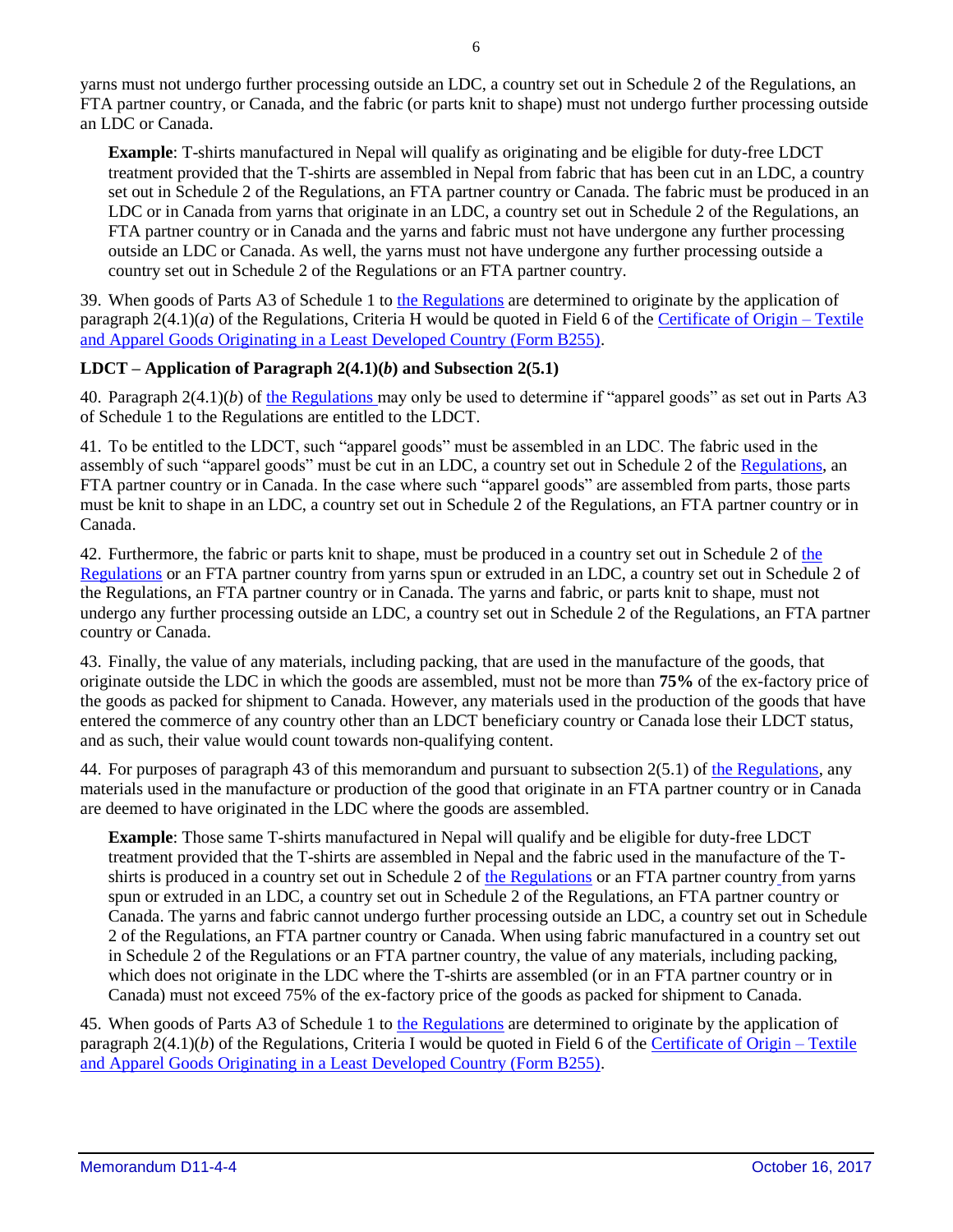yarns must not undergo further processing outside an LDC, a country set out in Schedule 2 of the Regulations, an FTA partner country, or Canada, and the fabric (or parts knit to shape) must not undergo further processing outside an LDC or Canada.

**Example**: T-shirts manufactured in Nepal will qualify as originating and be eligible for duty-free LDCT treatment provided that the T-shirts are assembled in Nepal from fabric that has been cut in an LDC, a country set out in Schedule 2 of the Regulations, an FTA partner country or Canada. The fabric must be produced in an LDC or in Canada from yarns that originate in an LDC, a country set out in Schedule 2 of the Regulations, an FTA partner country or in Canada and the yarns and fabric must not have undergone any further processing outside an LDC or Canada. As well, the yarns must not have undergone any further processing outside a country set out in Schedule 2 of the Regulations or an FTA partner country.

39. When goods of Parts A3 of Schedule 1 to [the Regulations](http://laws-lois.justice.gc.ca/eng/regulations/SOR-2013-165/FullText.html) are determined to originate by the application of paragraph  $2(4.1)(a)$  of the Regulations, Criteria H would be quoted in Field 6 of the [Certificate of Origin –](http://www.cbsa-asfc.gc.ca/publications/forms-formulaires/b255-eng.html) Textile [and Apparel Goods Originating in a Least Developed Country \(Form B255\).](http://www.cbsa-asfc.gc.ca/publications/forms-formulaires/b255-eng.html)

## **LDCT – Application of Paragraph 2(4.1)(***b***) and Subsection 2(5.1)**

40. Paragraph 2(4.1)(*b*) of the [Regulations](http://laws-lois.justice.gc.ca/eng/regulations/SOR-2013-165/FullText.html) may only be used to determine if "apparel goods" as set out in Parts A3 of Schedule 1 to the Regulations are entitled to the LDCT.

41. To be entitled to the LDCT, such "apparel goods" must be assembled in an LDC. The fabric used in the assembly of such "apparel goods" must be cut in an LDC, a country set out in Schedule 2 of the [Regulations,](http://laws-lois.justice.gc.ca/eng/regulations/SOR-2013-165/FullText.html) an FTA partner country or in Canada. In the case where such "apparel goods" are assembled from parts, those parts must be knit to shape in an LDC, a country set out in Schedule 2 of the Regulations, an FTA partner country or in Canada.

42. Furthermore, the fabric or parts knit to shape, must be produced in a country set out in Schedule 2 of [the](http://laws-lois.justice.gc.ca/eng/regulations/SOR-2013-165/FullText.html)  [Regulations](http://laws-lois.justice.gc.ca/eng/regulations/SOR-2013-165/FullText.html) or an FTA partner country from yarns spun or extruded in an LDC, a country set out in Schedule 2 of the Regulations, an FTA partner country or in Canada. The yarns and fabric, or parts knit to shape, must not undergo any further processing outside an LDC, a country set out in Schedule 2 of the Regulations, an FTA partner country or Canada.

43. Finally, the value of any materials, including packing, that are used in the manufacture of the goods, that originate outside the LDC in which the goods are assembled, must not be more than **75%** of the ex-factory price of the goods as packed for shipment to Canada. However, any materials used in the production of the goods that have entered the commerce of any country other than an LDCT beneficiary country or Canada lose their LDCT status, and as such, their value would count towards non-qualifying content.

44. For purposes of paragraph 43 of this memorandum and pursuant to subsection 2(5.1) of [the Regulations,](http://laws-lois.justice.gc.ca/eng/regulations/SOR-2013-165/FullText.html) any materials used in the manufacture or production of the good that originate in an FTA partner country or in Canada are deemed to have originated in the LDC where the goods are assembled.

**Example**: Those same T-shirts manufactured in Nepal will qualify and be eligible for duty-free LDCT treatment provided that the T-shirts are assembled in Nepal and the fabric used in the manufacture of the Tshirts is produced in a country set out in Schedule 2 of [the Regulations](http://laws-lois.justice.gc.ca/eng/regulations/SOR-2013-165/FullText.html) or an FTA partner country from yarns spun or extruded in an LDC, a country set out in Schedule 2 of the Regulations, an FTA partner country or Canada. The yarns and fabric cannot undergo further processing outside an LDC, a country set out in Schedule 2 of the Regulations, an FTA partner country or Canada. When using fabric manufactured in a country set out in Schedule 2 of the Regulations or an FTA partner country, the value of any materials, including packing, which does not originate in the LDC where the T-shirts are assembled (or in an FTA partner country or in Canada) must not exceed 75% of the ex-factory price of the goods as packed for shipment to Canada.

45. When goods of Parts A3 of Schedule 1 to [the Regulations](http://laws-lois.justice.gc.ca/eng/regulations/SOR-2013-165/FullText.html) are determined to originate by the application of paragraph  $2(4.1)(b)$  of the Regulations, Criteria I would be quoted in Field 6 of the [Certificate of Origin –](http://www.cbsa-asfc.gc.ca/publications/forms-formulaires/b255-eng.html) Textile [and Apparel Goods Originating in a Least Developed Country \(Form B255\).](http://www.cbsa-asfc.gc.ca/publications/forms-formulaires/b255-eng.html)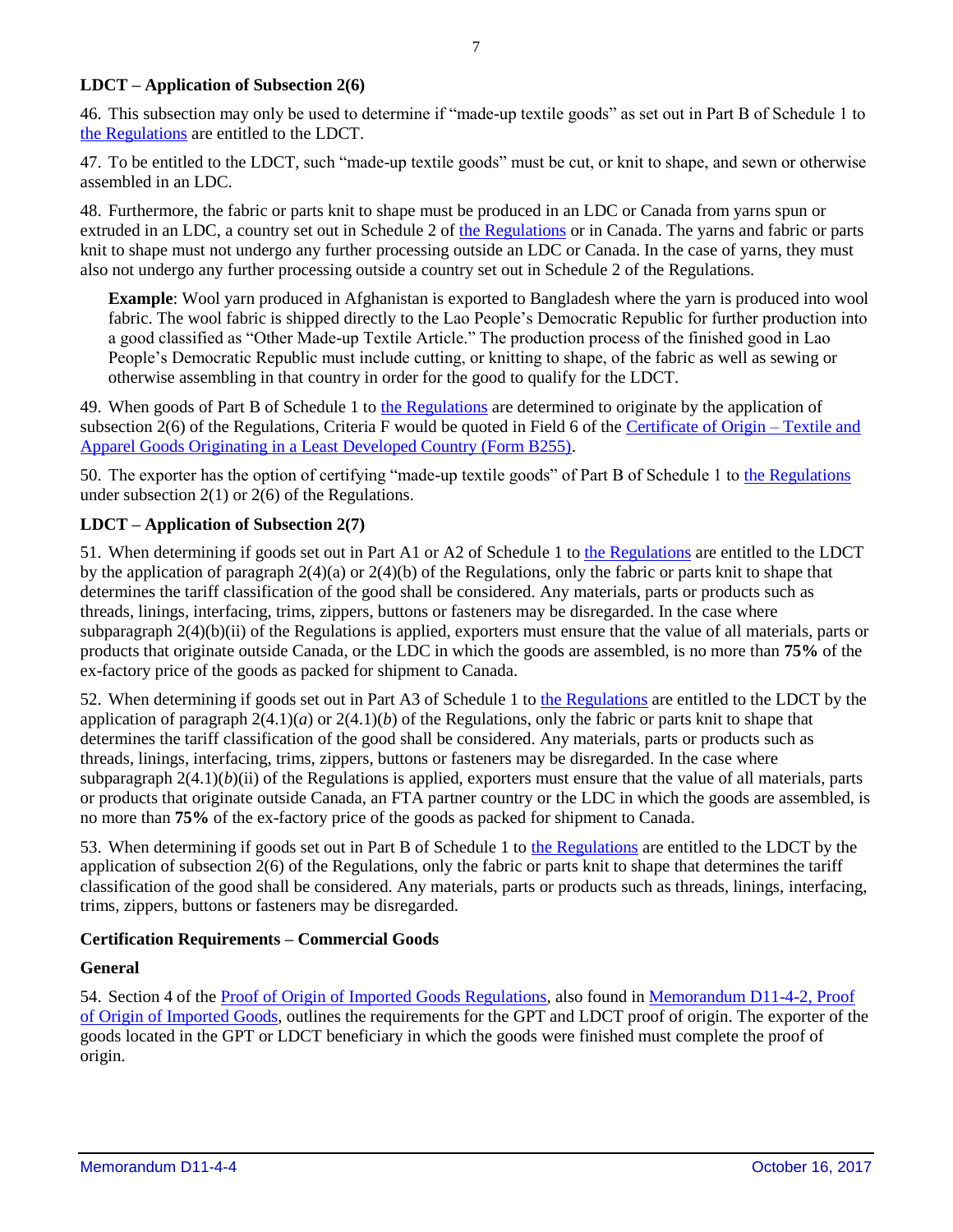#### **LDCT – Application of Subsection 2(6)**

46. This subsection may only be used to determine if "made-up textile goods" as set out in Part B of Schedule 1 to [the Regulations](http://laws-lois.justice.gc.ca/eng/regulations/SOR-2013-165/FullText.html) are entitled to the LDCT.

47. To be entitled to the LDCT, such "made-up textile goods" must be cut, or knit to shape, and sewn or otherwise assembled in an LDC.

48. Furthermore, the fabric or parts knit to shape must be produced in an LDC or Canada from yarns spun or extruded in an LDC, a country set out in Schedule 2 of [the Regulations](http://laws-lois.justice.gc.ca/eng/regulations/SOR-2013-165/FullText.html) or in Canada. The yarns and fabric or parts knit to shape must not undergo any further processing outside an LDC or Canada. In the case of yarns, they must also not undergo any further processing outside a country set out in Schedule 2 of the Regulations.

**Example**: Wool yarn produced in Afghanistan is exported to Bangladesh where the yarn is produced into wool fabric. The wool fabric is shipped directly to the Lao People's Democratic Republic for further production into a good classified as "Other Made-up Textile Article." The production process of the finished good in Lao People's Democratic Republic must include cutting, or knitting to shape, of the fabric as well as sewing or otherwise assembling in that country in order for the good to qualify for the LDCT.

49. When goods of Part B of Schedule 1 to [the Regulations](http://laws-lois.justice.gc.ca/eng/regulations/SOR-2013-165/FullText.html) are determined to originate by the application of subsection 2(6) of the Regulations, Criteria F would be quoted in Field 6 of the [Certificate of Origin –](http://www.cbsa-asfc.gc.ca/publications/forms-formulaires/b255-eng.html) Textile and [Apparel Goods Originating in a Least Developed Country \(Form B255\).](http://www.cbsa-asfc.gc.ca/publications/forms-formulaires/b255-eng.html)

50. The exporter has the option of certifying "made-up textile goods" of Part B of Schedule 1 to [the Regulations](http://laws-lois.justice.gc.ca/eng/regulations/SOR-2013-165/FullText.html) under subsection  $2(1)$  or  $2(6)$  of the Regulations.

#### **LDCT – Application of Subsection 2(7)**

51. When determining if goods set out in Part A1 or A2 of Schedule 1 to [the Regulations](http://laws-lois.justice.gc.ca/eng/regulations/SOR-2013-165/FullText.html) are entitled to the LDCT by the application of paragraph  $2(4)(a)$  or  $2(4)(b)$  of the Regulations, only the fabric or parts knit to shape that determines the tariff classification of the good shall be considered. Any materials, parts or products such as threads, linings, interfacing, trims, zippers, buttons or fasteners may be disregarded. In the case where subparagraph 2(4)(b)(ii) of the Regulations is applied, exporters must ensure that the value of all materials, parts or products that originate outside Canada, or the LDC in which the goods are assembled, is no more than **75%** of the ex-factory price of the goods as packed for shipment to Canada.

52. When determining if goods set out in Part A3 of Schedule 1 to [the Regulations](http://laws-lois.justice.gc.ca/eng/regulations/SOR-2013-165/FullText.html) are entitled to the LDCT by the application of paragraph 2(4.1)(*a*) or 2(4.1)(*b*) of the Regulations, only the fabric or parts knit to shape that determines the tariff classification of the good shall be considered. Any materials, parts or products such as threads, linings, interfacing, trims, zippers, buttons or fasteners may be disregarded. In the case where subparagraph  $2(4.1)(b)$ (ii) of the Regulations is applied, exporters must ensure that the value of all materials, parts or products that originate outside Canada, an FTA partner country or the LDC in which the goods are assembled, is no more than **75%** of the ex-factory price of the goods as packed for shipment to Canada.

53. When determining if goods set out in Part B of Schedule 1 to [the Regulations](http://laws-lois.justice.gc.ca/eng/regulations/SOR-2013-165/FullText.html) are entitled to the LDCT by the application of subsection 2(6) of the Regulations, only the fabric or parts knit to shape that determines the tariff classification of the good shall be considered. Any materials, parts or products such as threads, linings, interfacing, trims, zippers, buttons or fasteners may be disregarded.

#### **Certification Requirements – Commercial Goods**

#### **General**

54. Section 4 of th[e Proof of Origin of Imported Goods Regulations,](http://laws.justice.gc.ca/eng/regulations/SOR-98-52/FullText.html) also found in [Memorandum D11-4-2, Proof](http://cbsa-asfc.gc.ca/publications/dm-md/d11/d11-4-2-eng.html)  [of Origin](http://cbsa-asfc.gc.ca/publications/dm-md/d11/d11-4-2-eng.html) of Imported Goods, outlines the requirements for the GPT and LDCT proof of origin. The exporter of the goods located in the GPT or LDCT beneficiary in which the goods were finished must complete the proof of origin.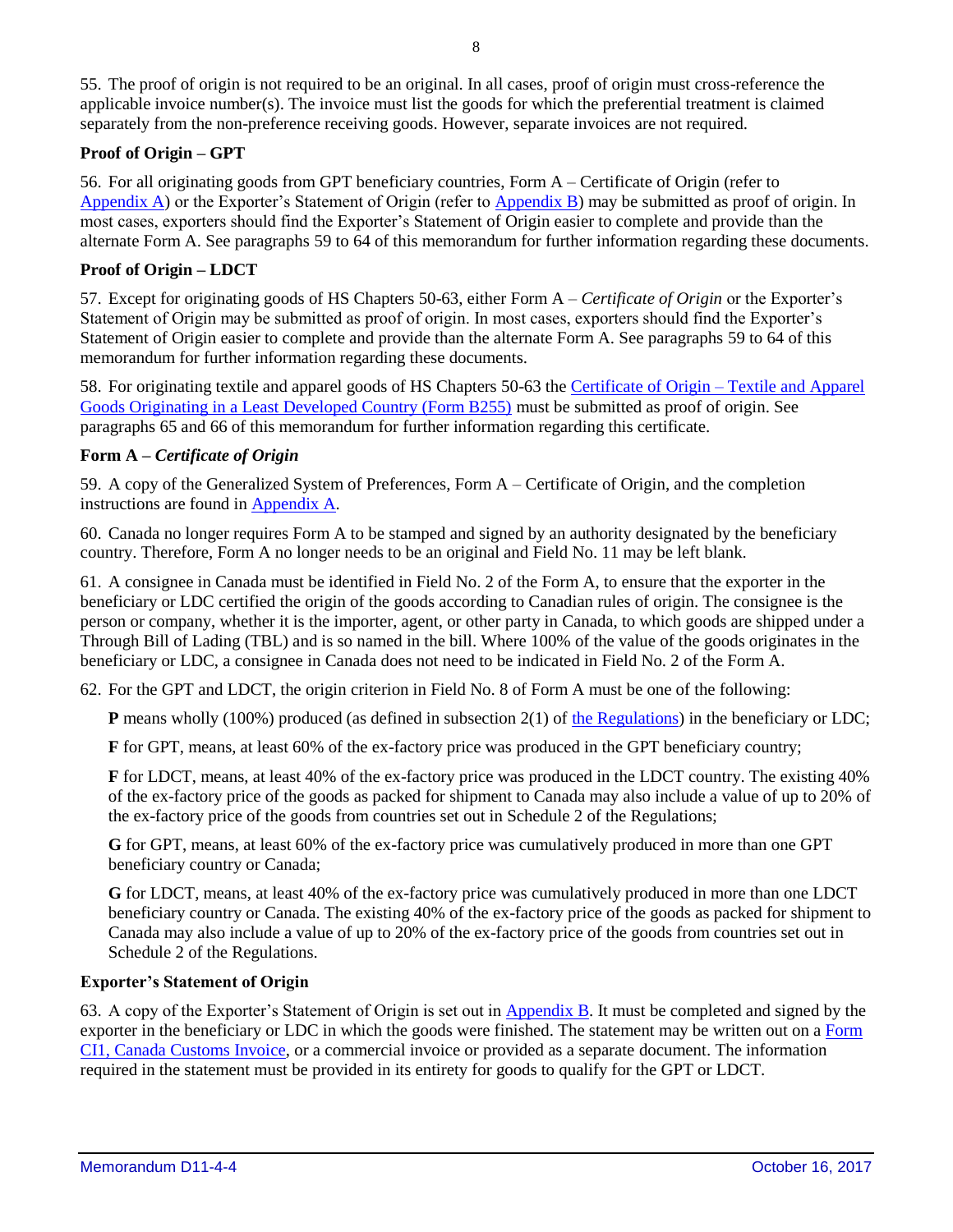55. The proof of origin is not required to be an original. In all cases, proof of origin must cross-reference the applicable invoice number(s). The invoice must list the goods for which the preferential treatment is claimed separately from the non-preference receiving goods. However, separate invoices are not required.

## **Proof of Origin – GPT**

56. For all originating goods from GPT beneficiary countries, Form A – Certificate of Origin (refer to [Appendix A\)](#page-11-0) or the Exporter's Statement of Origin (refer to [Appendix B\)](#page-14-0) may be submitted as proof of origin. In most cases, exporters should find the Exporter's Statement of Origin easier to complete and provide than the alternate Form A. See paragraphs 59 to 64 of this memorandum for further information regarding these documents.

## **Proof of Origin – LDCT**

57. Except for originating goods of HS Chapters 50-63, either Form A *– Certificate of Origin* or the Exporter's Statement of Origin may be submitted as proof of origin. In most cases, exporters should find the Exporter's Statement of Origin easier to complete and provide than the alternate Form A. See paragraphs 59 to 64 of this memorandum for further information regarding these documents.

58. For originating textile and apparel goods of HS Chapters 50-63 the [Certificate of Origin –](http://cbsa-asfc.gc.ca/publications/forms-formulaires/b255-eng.html) Textile and Apparel [Goods Originating in a Least Developed Country \(Form B255\)](http://cbsa-asfc.gc.ca/publications/forms-formulaires/b255-eng.html) must be submitted as proof of origin. See paragraphs 65 and 66 of this memorandum for further information regarding this certificate.

#### **Form A –** *Certificate of Origin*

59. A copy of the Generalized System of Preferences, Form A – Certificate of Origin, and the completion instructions are found in [Appendix A.](#page-11-0)

60. Canada no longer requires Form A to be stamped and signed by an authority designated by the beneficiary country. Therefore, Form A no longer needs to be an original and Field No. 11 may be left blank.

61. A consignee in Canada must be identified in Field No. 2 of the Form A, to ensure that the exporter in the beneficiary or LDC certified the origin of the goods according to Canadian rules of origin. The consignee is the person or company, whether it is the importer, agent, or other party in Canada, to which goods are shipped under a Through Bill of Lading (TBL) and is so named in the bill. Where 100% of the value of the goods originates in the beneficiary or LDC, a consignee in Canada does not need to be indicated in Field No. 2 of the Form A.

62. For the GPT and LDCT, the origin criterion in Field No. 8 of Form A must be one of the following:

**P** means wholly (100%) produced (as defined in subsection 2(1) of [the Regulations\)](http://laws-lois.justice.gc.ca/eng/regulations/SOR-2013-165/FullText.html) in the beneficiary or LDC;

**F** for GPT, means, at least 60% of the ex-factory price was produced in the GPT beneficiary country;

**F** for LDCT, means, at least 40% of the ex-factory price was produced in the LDCT country. The existing 40% of the ex-factory price of the goods as packed for shipment to Canada may also include a value of up to 20% of the ex-factory price of the goods from countries set out in Schedule 2 of the Regulations;

**G** for GPT, means, at least 60% of the ex-factory price was cumulatively produced in more than one GPT beneficiary country or Canada;

**G** for LDCT, means, at least 40% of the ex-factory price was cumulatively produced in more than one LDCT beneficiary country or Canada. The existing 40% of the ex-factory price of the goods as packed for shipment to Canada may also include a value of up to 20% of the ex-factory price of the goods from countries set out in Schedule 2 of the Regulations.

#### **Exporter's Statement of Origin**

63. A copy of the Exporter's Statement of Origin is set out in [Appendix B.](#page-14-0) It must be completed and signed by the exporter in the beneficiary or LDC in which the goods were finished. The statement may be written out on a [Form](http://www.cbsa-asfc.gc.ca/publications/forms-formulaires/ci1-eng.html)  [CI1, Canada Customs Invoice,](http://www.cbsa-asfc.gc.ca/publications/forms-formulaires/ci1-eng.html) or a commercial invoice or provided as a separate document. The information required in the statement must be provided in its entirety for goods to qualify for the GPT or LDCT.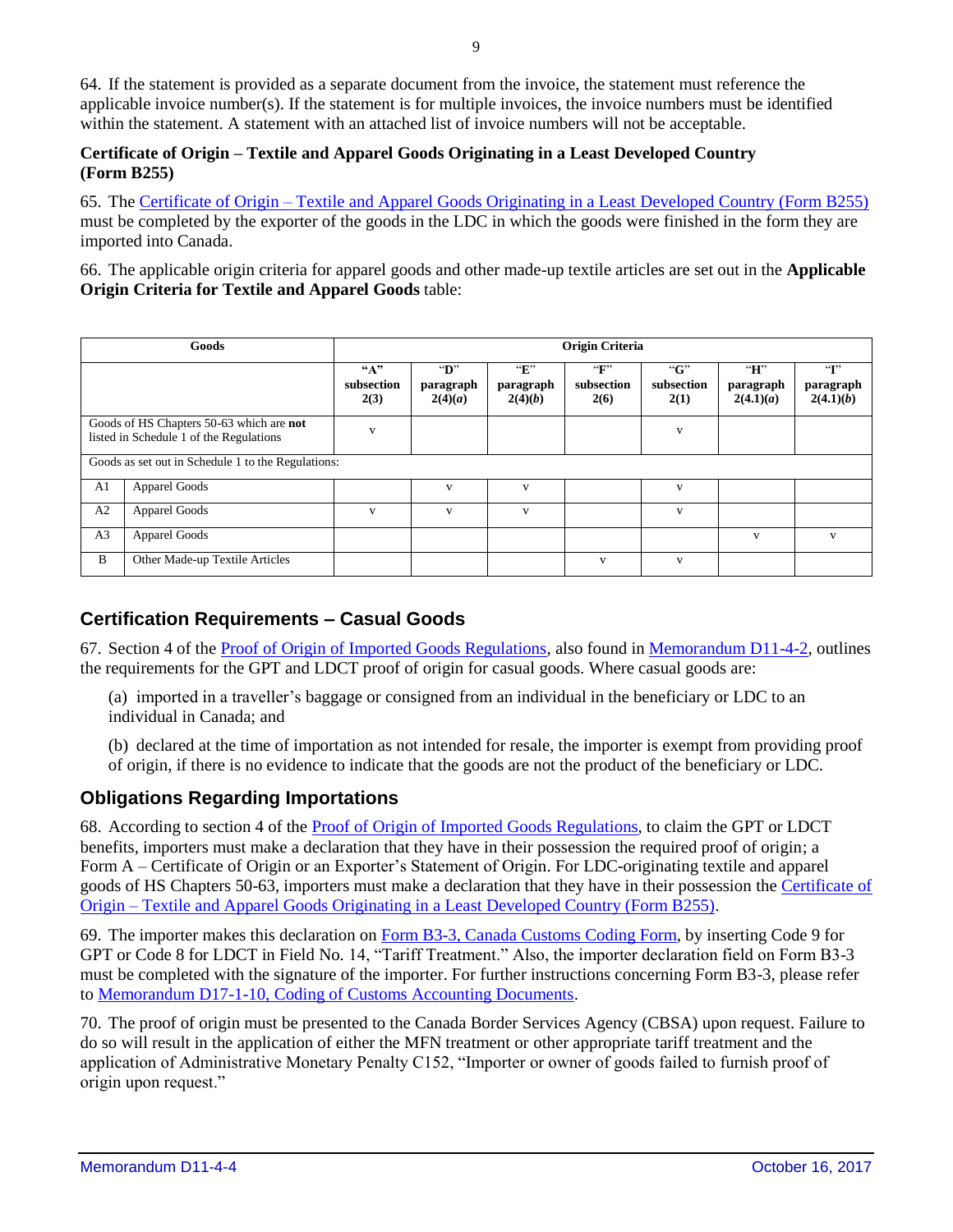64. If the statement is provided as a separate document from the invoice, the statement must reference the applicable invoice number(s). If the statement is for multiple invoices, the invoice numbers must be identified within the statement. A statement with an attached list of invoice numbers will not be acceptable.

#### **Certificate of Origin – Textile and Apparel Goods Originating in a Least Developed Country (Form B255)**

65. The Certificate of Origin – [Textile and Apparel Goods Originating in a Least Developed Country \(Form B255\)](http://cbsa-asfc.gc.ca/publications/forms-formulaires/b255-eng.html) must be completed by the exporter of the goods in the LDC in which the goods were finished in the form they are imported into Canada.

66. The applicable origin criteria for apparel goods and other made-up textile articles are set out in the **Applicable Origin Criteria for Textile and Apparel Goods** table:

| Goods                                                                               |                                | Origin Criteria            |                                      |                                      |                                    |                            |                             |                                        |  |
|-------------------------------------------------------------------------------------|--------------------------------|----------------------------|--------------------------------------|--------------------------------------|------------------------------------|----------------------------|-----------------------------|----------------------------------------|--|
|                                                                                     |                                | ``A"<br>subsection<br>2(3) | $\mathbf{D}$<br>paragraph<br>2(4)(a) | $\mathbf{F}$<br>paragraph<br>2(4)(b) | $\mathbf{F}$<br>subsection<br>2(6) | ``G"<br>subsection<br>2(1) | H<br>paragraph<br>2(4.1)(a) | $\mathbf{G}$<br>paragraph<br>2(4.1)(b) |  |
| Goods of HS Chapters 50-63 which are not<br>listed in Schedule 1 of the Regulations |                                | $\mathbf{V}$               |                                      |                                      |                                    | V                          |                             |                                        |  |
| Goods as set out in Schedule 1 to the Regulations:                                  |                                |                            |                                      |                                      |                                    |                            |                             |                                        |  |
| A1                                                                                  | <b>Apparel Goods</b>           |                            | V                                    | V                                    |                                    | $\mathbf{v}$               |                             |                                        |  |
| A2                                                                                  | <b>Apparel Goods</b>           | $\mathbf{V}$               | V                                    | V                                    |                                    | V                          |                             |                                        |  |
| A <sub>3</sub>                                                                      | <b>Apparel Goods</b>           |                            |                                      |                                      |                                    |                            | V                           | $\mathbf{V}$                           |  |
| B                                                                                   | Other Made-up Textile Articles |                            |                                      |                                      | $\mathbf{V}$                       | $\mathbf{v}$               |                             |                                        |  |

## **Certification Requirements – Casual Goods**

67. Section 4 of th[e Proof of Origin of Imported Goods Regulations,](http://laws.justice.gc.ca/eng/regulations/SOR-98-52/FullText.html) also found in [Memorandum D11-4-2,](http://cbsa-asfc.gc.ca/publications/dm-md/d11/d11-4-2-eng.html) outlines the requirements for the GPT and LDCT proof of origin for casual goods. Where casual goods are:

(a) imported in a traveller's baggage or consigned from an individual in the beneficiary or LDC to an individual in Canada; and

(b) declared at the time of importation as not intended for resale, the importer is exempt from providing proof of origin, if there is no evidence to indicate that the goods are not the product of the beneficiary or LDC.

## **Obligations Regarding Importations**

68. According to section 4 of the [Proof of Origin of Imported Goods Regulations,](http://laws.justice.gc.ca/eng/regulations/SOR-98-52/FullText.html) to claim the GPT or LDCT benefits, importers must make a declaration that they have in their possession the required proof of origin; a Form A – Certificate of Origin or an Exporter's Statement of Origin. For LDC-originating textile and apparel goods of HS Chapters 50-63, importers must make a declaration that they have in their possession the [Certificate of](http://cbsa-asfc.gc.ca/publications/forms-formulaires/b255-eng.html)  Origin – [Textile and Apparel Goods Originating in a Least Developed Country \(Form B255\).](http://cbsa-asfc.gc.ca/publications/forms-formulaires/b255-eng.html)

69. The importer makes this declaration on [Form B3-3, Canada Customs Coding Form,](http://cbsa-asfc.gc.ca/publications/forms-formulaires/b3-3-eng.html) by inserting Code 9 for GPT or Code 8 for LDCT in Field No. 14, "Tariff Treatment." Also, the importer declaration field on Form B3-3 must be completed with the signature of the importer. For further instructions concerning Form B3-3, please refer to [Memorandum D17-1-10, Coding of Customs Accounting Documents.](http://cbsa-asfc.gc.ca/publications/dm-md/d17/d17-1-10-eng.html)

70. The proof of origin must be presented to the Canada Border Services Agency (CBSA) upon request. Failure to do so will result in the application of either the MFN treatment or other appropriate tariff treatment and the application of Administrative Monetary Penalty C152, "Importer or owner of goods failed to furnish proof of origin upon request."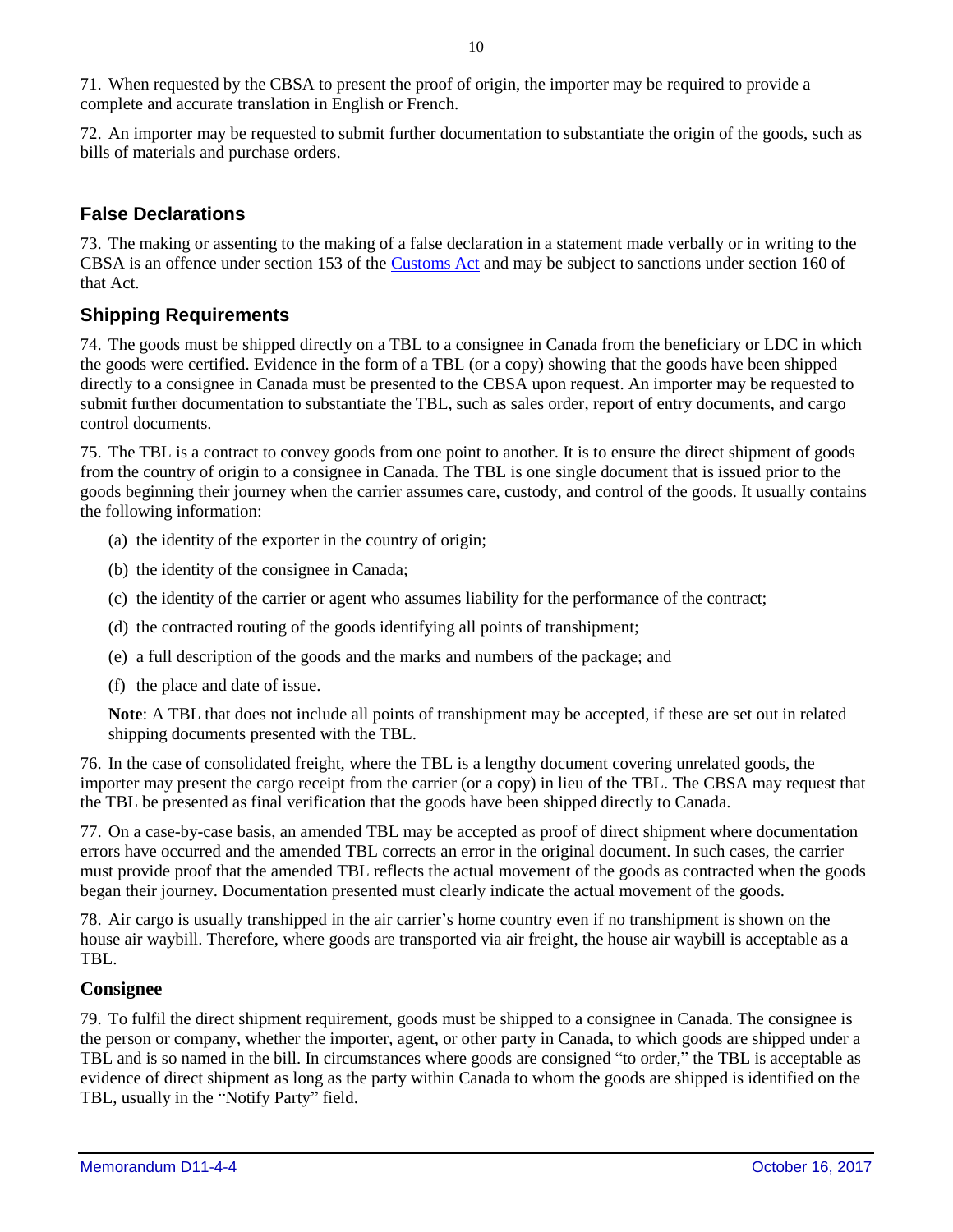71. When requested by the CBSA to present the proof of origin, the importer may be required to provide a complete and accurate translation in English or French.

72. An importer may be requested to submit further documentation to substantiate the origin of the goods, such as bills of materials and purchase orders.

## **False Declarations**

73. The making or assenting to the making of a false declaration in a statement made verbally or in writing to the CBSA is an offence under section 153 of the [Customs Act](http://laws-lois.justice.gc.ca/eng/acts/c-52.6/FullText.html) and may be subject to sanctions under section 160 of that Act.

## **Shipping Requirements**

74. The goods must be shipped directly on a TBL to a consignee in Canada from the beneficiary or LDC in which the goods were certified. Evidence in the form of a TBL (or a copy) showing that the goods have been shipped directly to a consignee in Canada must be presented to the CBSA upon request. An importer may be requested to submit further documentation to substantiate the TBL, such as sales order, report of entry documents, and cargo control documents.

75. The TBL is a contract to convey goods from one point to another. It is to ensure the direct shipment of goods from the country of origin to a consignee in Canada. The TBL is one single document that is issued prior to the goods beginning their journey when the carrier assumes care, custody, and control of the goods. It usually contains the following information:

- (a) the identity of the exporter in the country of origin;
- (b) the identity of the consignee in Canada;
- (c) the identity of the carrier or agent who assumes liability for the performance of the contract;
- (d) the contracted routing of the goods identifying all points of transhipment;
- (e) a full description of the goods and the marks and numbers of the package; and
- (f) the place and date of issue.

**Note**: A TBL that does not include all points of transhipment may be accepted, if these are set out in related shipping documents presented with the TBL.

76. In the case of consolidated freight, where the TBL is a lengthy document covering unrelated goods, the importer may present the cargo receipt from the carrier (or a copy) in lieu of the TBL. The CBSA may request that the TBL be presented as final verification that the goods have been shipped directly to Canada.

77. On a case-by-case basis, an amended TBL may be accepted as proof of direct shipment where documentation errors have occurred and the amended TBL corrects an error in the original document. In such cases, the carrier must provide proof that the amended TBL reflects the actual movement of the goods as contracted when the goods began their journey. Documentation presented must clearly indicate the actual movement of the goods.

78. Air cargo is usually transhipped in the air carrier's home country even if no transhipment is shown on the house air waybill. Therefore, where goods are transported via air freight, the house air waybill is acceptable as a TBL.

## **Consignee**

79. To fulfil the direct shipment requirement, goods must be shipped to a consignee in Canada. The consignee is the person or company, whether the importer, agent, or other party in Canada, to which goods are shipped under a TBL and is so named in the bill. In circumstances where goods are consigned "to order," the TBL is acceptable as evidence of direct shipment as long as the party within Canada to whom the goods are shipped is identified on the TBL, usually in the "Notify Party" field.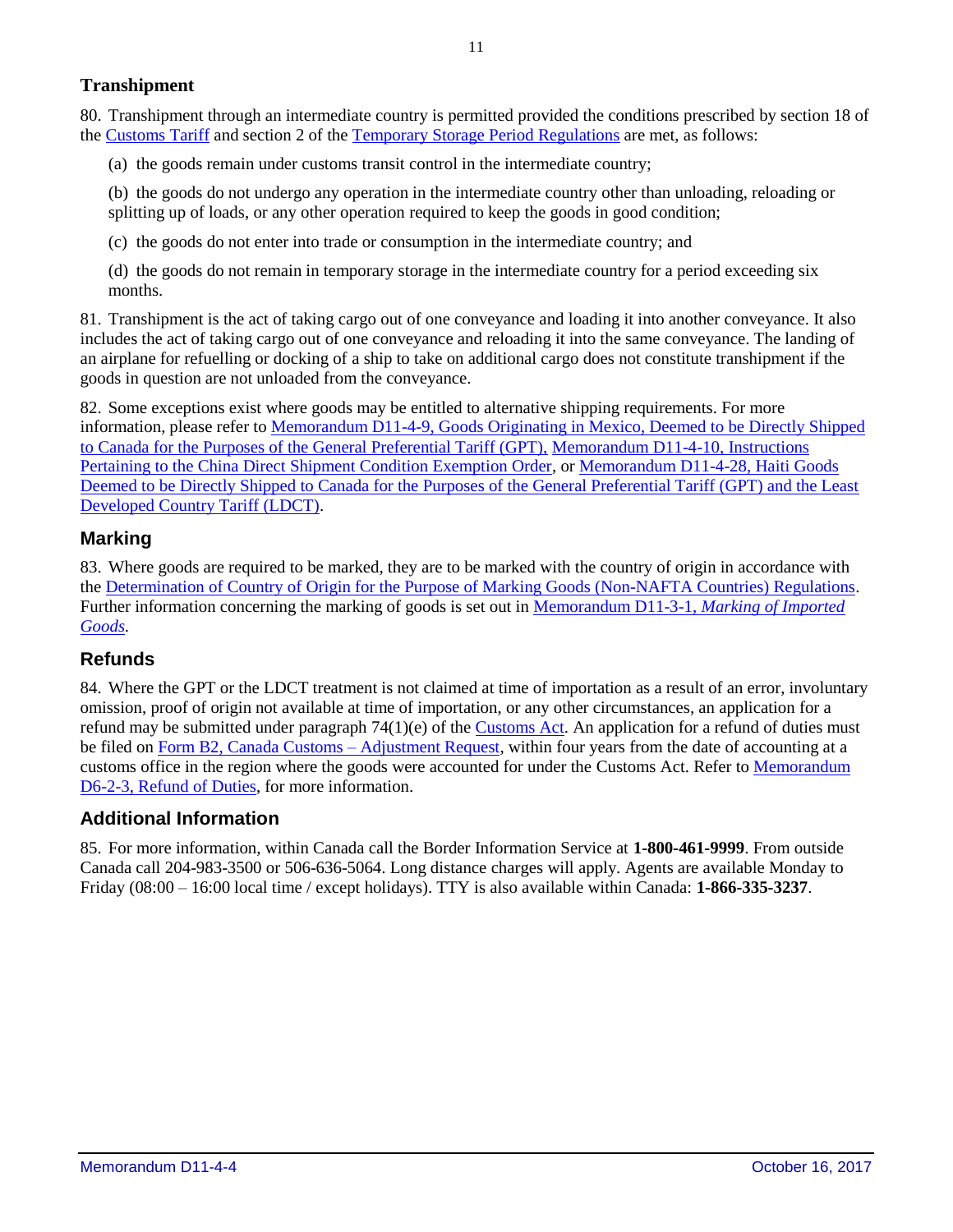## **Transhipment**

80. Transhipment through an intermediate country is permitted provided the conditions prescribed by section 18 of the [Customs Tariff](http://laws-lois.justice.gc.ca/eng/acts/C-54.011/FullText.html) and section 2 of the [Temporary Storage Period Regulations](http://laws-lois.justice.gc.ca/eng/regulations/SOR-88-79/FullText.html) are met, as follows:

(a) the goods remain under customs transit control in the intermediate country;

(b) the goods do not undergo any operation in the intermediate country other than unloading, reloading or splitting up of loads, or any other operation required to keep the goods in good condition;

(c) the goods do not enter into trade or consumption in the intermediate country; and

(d) the goods do not remain in temporary storage in the intermediate country for a period exceeding six months.

81. Transhipment is the act of taking cargo out of one conveyance and loading it into another conveyance. It also includes the act of taking cargo out of one conveyance and reloading it into the same conveyance. The landing of an airplane for refuelling or docking of a ship to take on additional cargo does not constitute transhipment if the goods in question are not unloaded from the conveyance.

82. Some exceptions exist where goods may be entitled to alternative shipping requirements. For more information, please refer to [Memorandum D11-4-9, Goods Originating in Mexico, Deemed to be Directly Shipped](http://cbsa-asfc.gc.ca/publications/dm-md/d11/d11-4-9-eng.html)  [to Canada for the Purposes of the General Preferential Tariff \(GPT\),](http://cbsa-asfc.gc.ca/publications/dm-md/d11/d11-4-9-eng.html) [Memorandum D11-4-10, Instructions](http://cbsa-asfc.gc.ca/publications/dm-md/d11/d11-4-10-eng.html)  [Pertaining to the China Direct Shipment Condition Exemption Order,](http://cbsa-asfc.gc.ca/publications/dm-md/d11/d11-4-10-eng.html) or [Memorandum D11-4-28, Haiti Goods](http://cbsa-asfc.gc.ca/publications/dm-md/d11/d11-4-28-eng.html)  [Deemed to be Directly Shipped to Canada for the Purposes of the General Preferential Tariff \(GPT\) and the Least](http://cbsa-asfc.gc.ca/publications/dm-md/d11/d11-4-28-eng.html)  [Developed Country Tariff \(LDCT\).](http://cbsa-asfc.gc.ca/publications/dm-md/d11/d11-4-28-eng.html)

## **Marking**

83. Where goods are required to be marked, they are to be marked with the country of origin in accordance with the [Determination of Country of Origin for the Purpose of Marking Goods \(Non-NAFTA Countries\) Regulations.](http://laws-lois.justice.gc.ca/eng/regulations/SOR-94-16/FullText.html) Further information concerning the marking of goods is set out i[n Memorandum D11-3-1,](http://cbsa-asfc.gc.ca/publications/dm-md/d11/d11-3-1-eng.html) *Marking of Imported [Goods.](http://cbsa-asfc.gc.ca/publications/dm-md/d11/d11-3-1-eng.html)*

## **Refunds**

84. Where the GPT or the LDCT treatment is not claimed at time of importation as a result of an error, involuntary omission, proof of origin not available at time of importation, or any other circumstances, an application for a refund may be submitted under paragraph 74(1)(e) of the [Customs Act.](http://laws-lois.justice.gc.ca/eng/acts/c-52.6/FullText.html) An application for a refund of duties must be filed on [Form B2, Canada Customs –](http://www.cbsa-asfc.gc.ca/publications/forms-formulaires/b2-eng.html) Adjustment Request, within four years from the date of accounting at a customs office in the region where the goods were accounted for under the Customs Act. Refer to Memorandum [D6-2-3, Refund of Duties,](http://cbsa-asfc.gc.ca/publications/dm-md/d6/d6-2-3-eng.html) for more information.

## **Additional Information**

85. For more information, within Canada call the Border Information Service at **1-800-461-9999**. From outside Canada call 204-983-3500 or 506-636-5064. Long distance charges will apply. Agents are available Monday to Friday (08:00 – 16:00 local time / except holidays). TTY is also available within Canada: **1-866-335-3237**.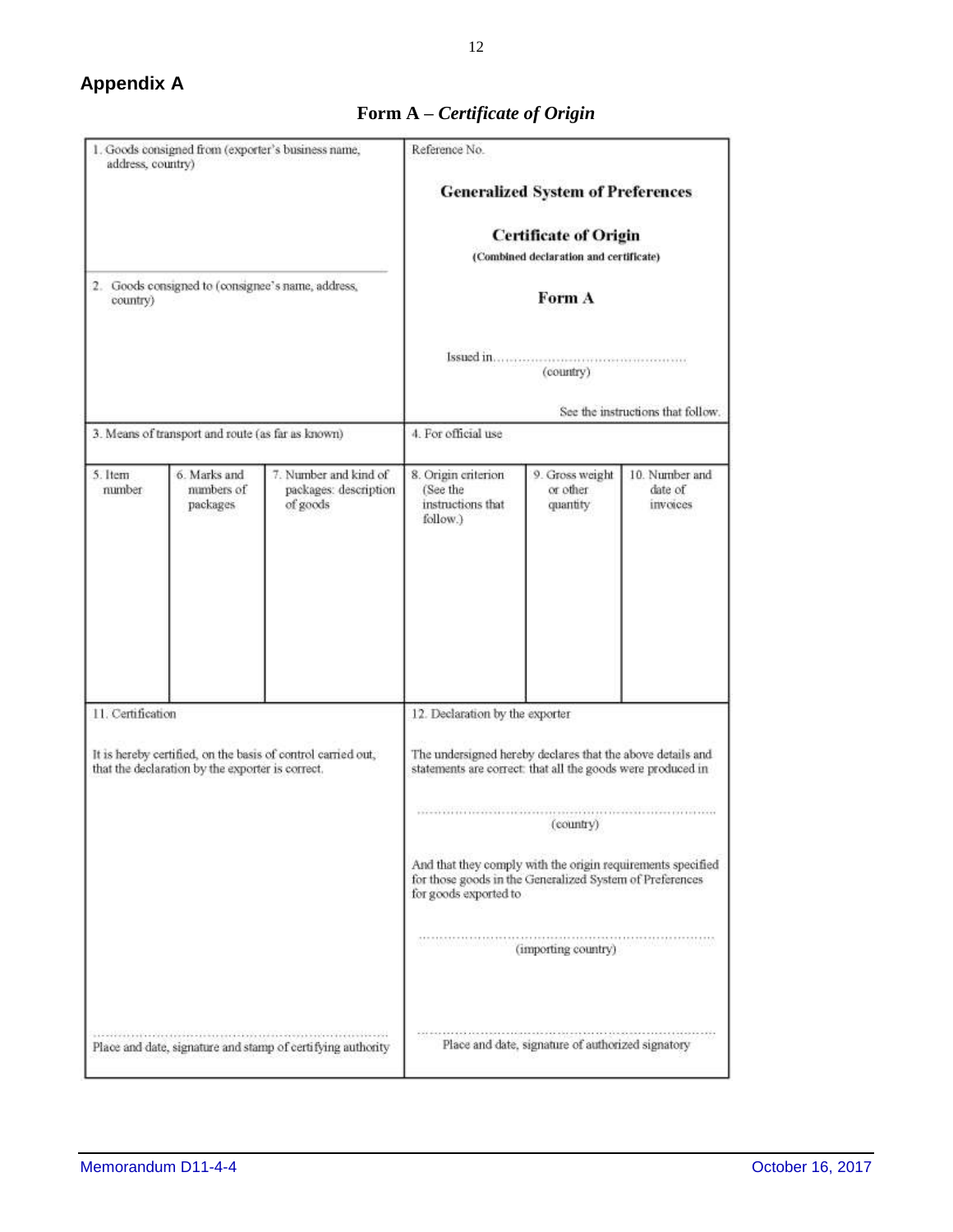## <span id="page-11-0"></span>**Appendix A**

| address, country)                                                                                                | 1. Goods consigned from (exporter's business name, |                                                             | Reference No.                                                                                                                                    |                                         |                                       |  |  |  |
|------------------------------------------------------------------------------------------------------------------|----------------------------------------------------|-------------------------------------------------------------|--------------------------------------------------------------------------------------------------------------------------------------------------|-----------------------------------------|---------------------------------------|--|--|--|
|                                                                                                                  |                                                    |                                                             | <b>Generalized System of Preferences</b><br><b>Certificate of Origin</b><br>(Combined declaration and certificate)                               |                                         |                                       |  |  |  |
|                                                                                                                  |                                                    |                                                             |                                                                                                                                                  |                                         |                                       |  |  |  |
|                                                                                                                  |                                                    |                                                             |                                                                                                                                                  |                                         |                                       |  |  |  |
| country)                                                                                                         | 2. Goods consigned to (consignee's name, address,  |                                                             | Form A                                                                                                                                           |                                         |                                       |  |  |  |
|                                                                                                                  |                                                    |                                                             | (country)                                                                                                                                        |                                         |                                       |  |  |  |
|                                                                                                                  |                                                    |                                                             | See the instructions that follow.                                                                                                                |                                         |                                       |  |  |  |
|                                                                                                                  | 3. Means of transport and route (as far as known)  |                                                             | 4. For official use                                                                                                                              |                                         |                                       |  |  |  |
| 5. Item<br>number                                                                                                | 6. Marks and<br>numbers of<br>packages             | 7. Number and kind of<br>packages: description<br>of goods  | 8. Origin criterion<br>(See the<br>instructions that<br>follow.)                                                                                 | 9. Gross weight<br>or other<br>quantity | 10. Number and<br>date of<br>invoices |  |  |  |
|                                                                                                                  |                                                    |                                                             |                                                                                                                                                  |                                         |                                       |  |  |  |
| 11. Certification                                                                                                |                                                    |                                                             | 12. Declaration by the exporter                                                                                                                  |                                         |                                       |  |  |  |
| It is hereby certified, on the basis of control carried out,<br>that the declaration by the exporter is correct. |                                                    |                                                             | The undersigned hereby declares that the above details and<br>statements are correct: that all the goods were produced in                        |                                         |                                       |  |  |  |
|                                                                                                                  |                                                    |                                                             | (country)                                                                                                                                        |                                         |                                       |  |  |  |
|                                                                                                                  |                                                    |                                                             | And that they comply with the origin requirements specified<br>for those goods in the Generalized System of Preferences<br>for goods exported to |                                         |                                       |  |  |  |
|                                                                                                                  |                                                    |                                                             | (importing country)                                                                                                                              |                                         |                                       |  |  |  |
|                                                                                                                  |                                                    | Place and date, signature and stamp of certifying authority | Place and date, signature of authorized signatory                                                                                                |                                         |                                       |  |  |  |

## **Form A –** *Certificate of Origin*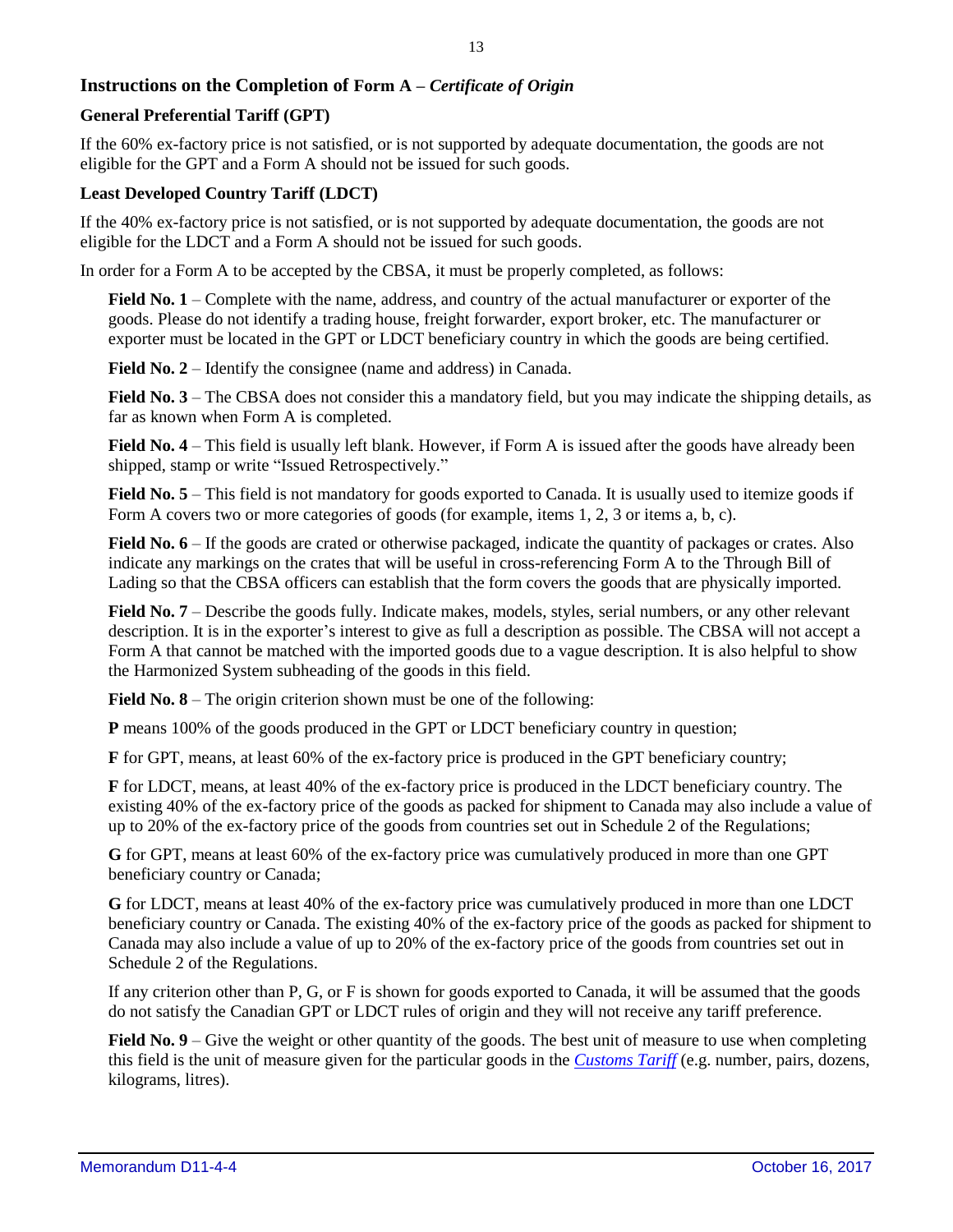## **Instructions on the Completion of Form A –** *Certificate of Origin*

## **General Preferential Tariff (GPT)**

If the 60% ex-factory price is not satisfied, or is not supported by adequate documentation, the goods are not eligible for the GPT and a Form A should not be issued for such goods.

#### **Least Developed Country Tariff (LDCT)**

If the 40% ex-factory price is not satisfied, or is not supported by adequate documentation, the goods are not eligible for the LDCT and a Form A should not be issued for such goods.

In order for a Form A to be accepted by the CBSA, it must be properly completed, as follows:

**Field No. 1** – Complete with the name, address, and country of the actual manufacturer or exporter of the goods. Please do not identify a trading house, freight forwarder, export broker, etc. The manufacturer or exporter must be located in the GPT or LDCT beneficiary country in which the goods are being certified.

**Field No. 2** – Identify the consignee (name and address) in Canada.

**Field No. 3** – The CBSA does not consider this a mandatory field, but you may indicate the shipping details, as far as known when Form A is completed.

**Field No. 4** – This field is usually left blank. However, if Form A is issued after the goods have already been shipped, stamp or write "Issued Retrospectively."

**Field No. 5** – This field is not mandatory for goods exported to Canada. It is usually used to itemize goods if Form A covers two or more categories of goods (for example, items 1, 2, 3 or items a, b, c).

**Field No. 6** – If the goods are crated or otherwise packaged, indicate the quantity of packages or crates. Also indicate any markings on the crates that will be useful in cross-referencing Form A to the Through Bill of Lading so that the CBSA officers can establish that the form covers the goods that are physically imported.

**Field No. 7** – Describe the goods fully. Indicate makes, models, styles, serial numbers, or any other relevant description. It is in the exporter's interest to give as full a description as possible. The CBSA will not accept a Form A that cannot be matched with the imported goods due to a vague description. It is also helpful to show the Harmonized System subheading of the goods in this field.

**Field No. 8** – The origin criterion shown must be one of the following:

**P** means 100% of the goods produced in the GPT or LDCT beneficiary country in question;

**F** for GPT, means, at least 60% of the ex-factory price is produced in the GPT beneficiary country;

**F** for LDCT, means, at least 40% of the ex-factory price is produced in the LDCT beneficiary country. The existing 40% of the ex-factory price of the goods as packed for shipment to Canada may also include a value of up to 20% of the ex-factory price of the goods from countries set out in Schedule 2 of the Regulations;

**G** for GPT, means at least 60% of the ex-factory price was cumulatively produced in more than one GPT beneficiary country or Canada;

**G** for LDCT, means at least 40% of the ex-factory price was cumulatively produced in more than one LDCT beneficiary country or Canada. The existing 40% of the ex-factory price of the goods as packed for shipment to Canada may also include a value of up to 20% of the ex-factory price of the goods from countries set out in Schedule 2 of the Regulations.

If any criterion other than P, G, or F is shown for goods exported to Canada, it will be assumed that the goods do not satisfy the Canadian GPT or LDCT rules of origin and they will not receive any tariff preference.

**Field No. 9** – Give the weight or other quantity of the goods. The best unit of measure to use when completing this field is the unit of measure given for the particular goods in the *[Customs Tariff](http://www.cbsa-asfc.gc.ca/trade-commerce/tariff-tarif/menu-eng.html)* (e.g. number, pairs, dozens, kilograms, litres).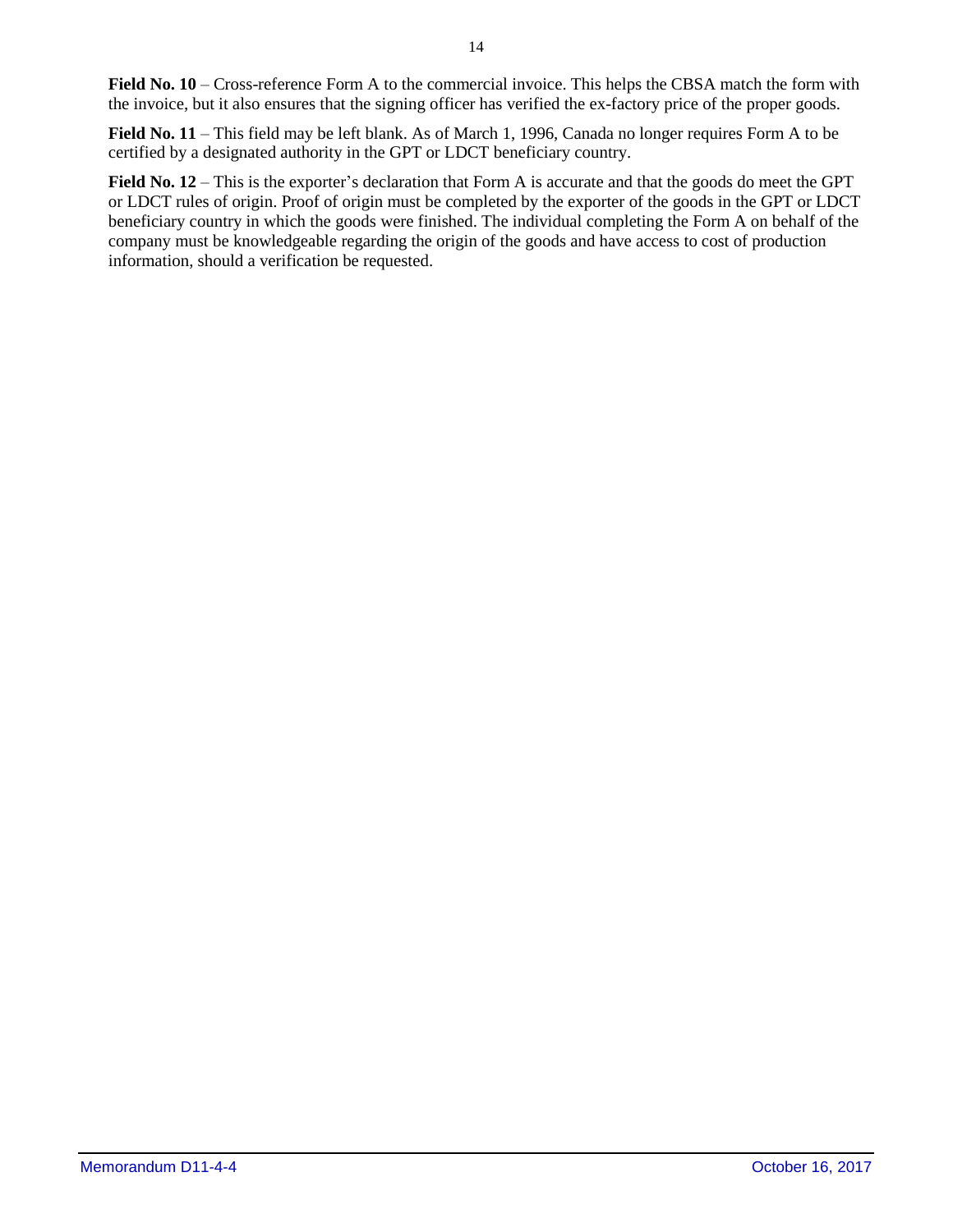**Field No. 10** – Cross-reference Form A to the commercial invoice. This helps the CBSA match the form with the invoice, but it also ensures that the signing officer has verified the ex-factory price of the proper goods.

**Field No. 11** – This field may be left blank. As of March 1, 1996, Canada no longer requires Form A to be certified by a designated authority in the GPT or LDCT beneficiary country.

**Field No. 12** – This is the exporter's declaration that Form A is accurate and that the goods do meet the GPT or LDCT rules of origin. Proof of origin must be completed by the exporter of the goods in the GPT or LDCT beneficiary country in which the goods were finished. The individual completing the Form A on behalf of the company must be knowledgeable regarding the origin of the goods and have access to cost of production information, should a verification be requested.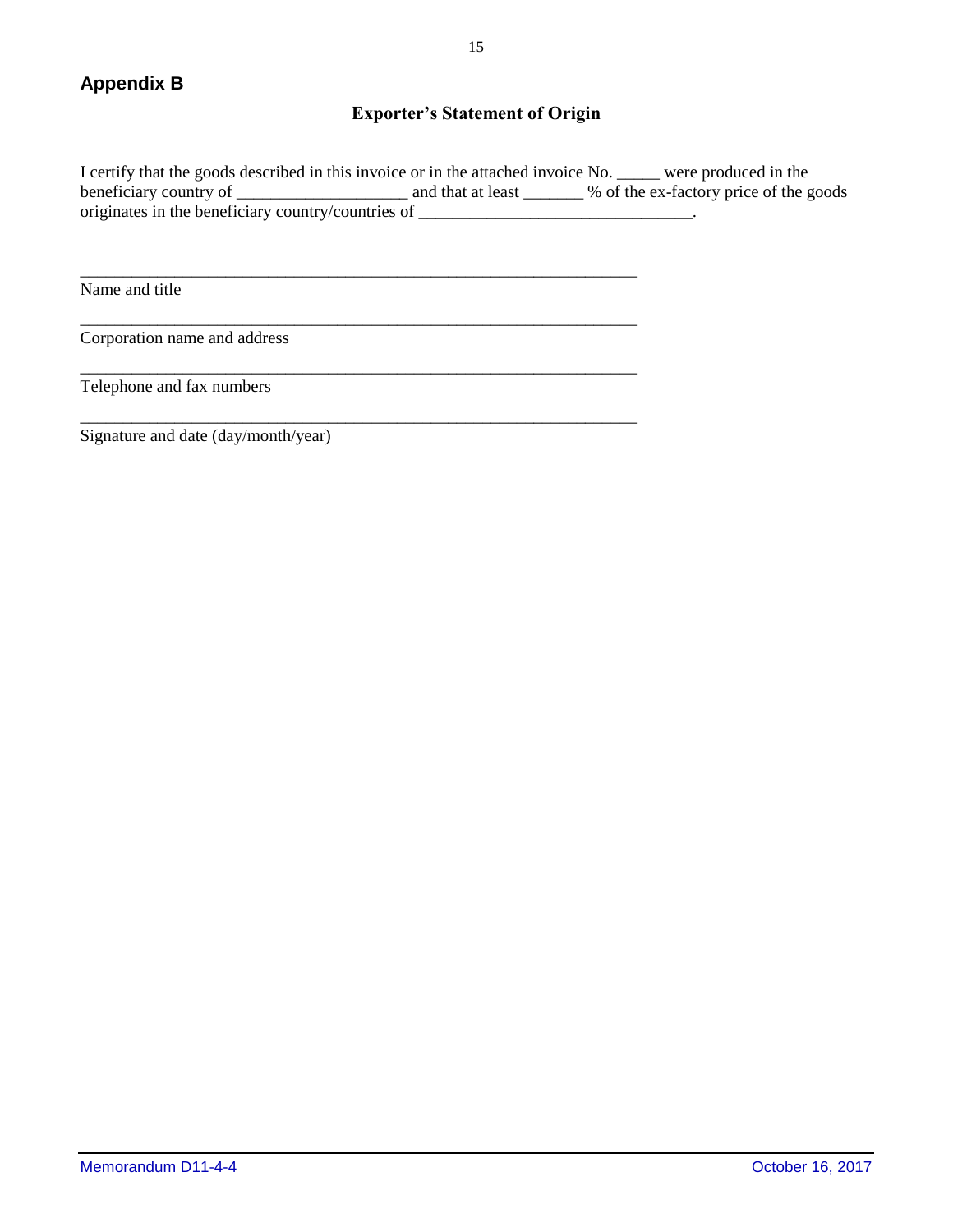## **Exporter's Statement of Origin**

<span id="page-14-0"></span>I certify that the goods described in this invoice or in the attached invoice No. \_\_\_\_\_ were produced in the beneficiary country of \_\_\_\_\_\_\_\_\_\_\_\_\_\_\_\_\_\_\_\_\_\_\_ and that at least \_\_\_\_\_\_\_ % of the ex-factory price of the goods originates in the beneficiary country/countries of \_\_\_\_\_\_\_\_\_\_\_\_\_\_\_\_\_\_\_\_\_\_\_\_\_\_\_\_\_\_\_\_.

\_\_\_\_\_\_\_\_\_\_\_\_\_\_\_\_\_\_\_\_\_\_\_\_\_\_\_\_\_\_\_\_\_\_\_\_\_\_\_\_\_\_\_\_\_\_\_\_\_\_\_\_\_\_\_\_\_\_\_\_\_\_\_\_\_

\_\_\_\_\_\_\_\_\_\_\_\_\_\_\_\_\_\_\_\_\_\_\_\_\_\_\_\_\_\_\_\_\_\_\_\_\_\_\_\_\_\_\_\_\_\_\_\_\_\_\_\_\_\_\_\_\_\_\_\_\_\_\_\_\_

\_\_\_\_\_\_\_\_\_\_\_\_\_\_\_\_\_\_\_\_\_\_\_\_\_\_\_\_\_\_\_\_\_\_\_\_\_\_\_\_\_\_\_\_\_\_\_\_\_\_\_\_\_\_\_\_\_\_\_\_\_\_\_\_\_

\_\_\_\_\_\_\_\_\_\_\_\_\_\_\_\_\_\_\_\_\_\_\_\_\_\_\_\_\_\_\_\_\_\_\_\_\_\_\_\_\_\_\_\_\_\_\_\_\_\_\_\_\_\_\_\_\_\_\_\_\_\_\_\_\_

Name and title

Corporation name and address

Telephone and fax numbers

Signature and date (day/month/year)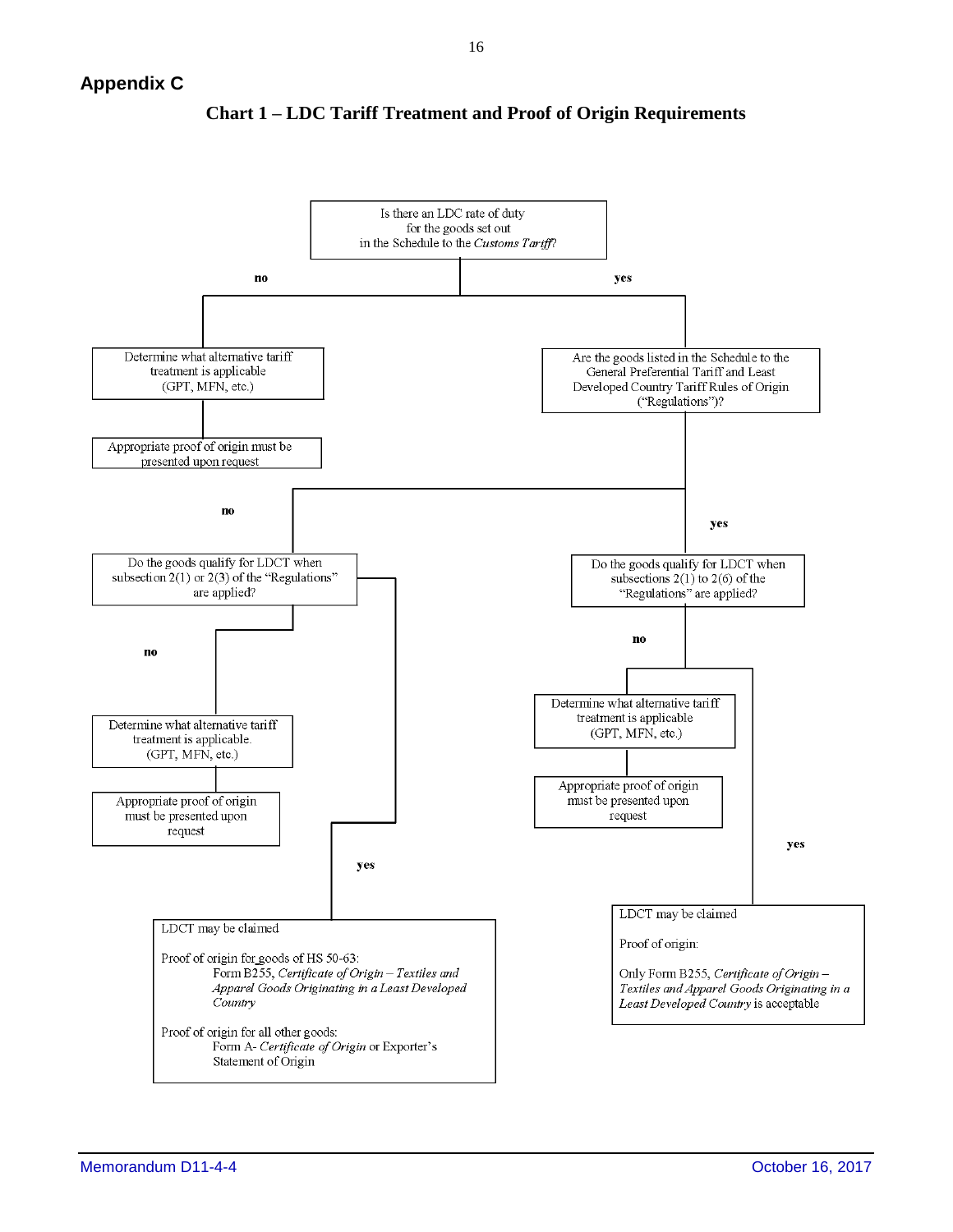

**Chart 1 – LDC Tariff Treatment and Proof of Origin Requirements**